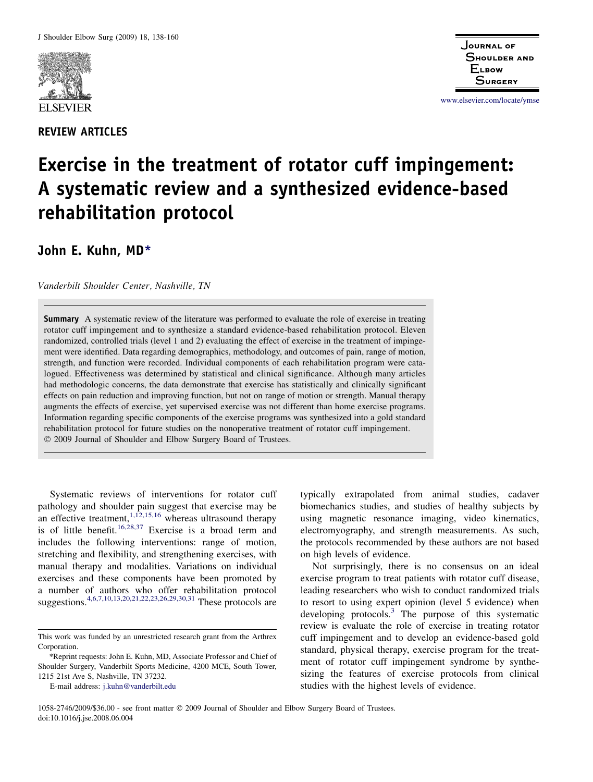

REVIEW ARTICLES

Journal of SHOULDER AND **ELBOW** Surgery

www.elsevier.com/locate/ymse

# Exercise in the treatment of rotator cuff impingement: A systematic review and a synthesized evidence-based rehabilitation protocol

John E. Kuhn, MD\*

Vanderbilt Shoulder Center, Nashville, TN

**Summary** A systematic review of the literature was performed to evaluate the role of exercise in treating rotator cuff impingement and to synthesize a standard evidence-based rehabilitation protocol. Eleven randomized, controlled trials (level 1 and 2) evaluating the effect of exercise in the treatment of impingement were identified. Data regarding demographics, methodology, and outcomes of pain, range of motion, strength, and function were recorded. Individual components of each rehabilitation program were catalogued. Effectiveness was determined by statistical and clinical significance. Although many articles had methodologic concerns, the data demonstrate that exercise has statistically and clinically significant effects on pain reduction and improving function, but not on range of motion or strength. Manual therapy augments the effects of exercise, yet supervised exercise was not different than home exercise programs. Information regarding specific components of the exercise programs was synthesized into a gold standard rehabilitation protocol for future studies on the nonoperative treatment of rotator cuff impingement.  $©$  2009 Journal of Shoulder and Elbow Surgery Board of Trustees.

Systematic reviews of interventions for rotator cuff pathology and shoulder pain suggest that exercise may be an effective treatment,  $1,12,15,16$  whereas ultrasound therapy is of little benefit.<sup>[16,28,37](#page-18-0)</sup> Exercise is a broad term and includes the following interventions: range of motion, stretching and flexibility, and strengthening exercises, with manual therapy and modalities. Variations on individual exercises and these components have been promoted by a number of authors who offer rehabilitation protocol suggestions.<sup>[4,6,7,10,13,20,21,22,23,26,29,30,31](#page-17-0)</sup> These protocols are

E-mail address: [j.kuhn@vanderbilt.edu](mailto:j.kuhn@vanderbilt.edu)

typically extrapolated from animal studies, cadaver biomechanics studies, and studies of healthy subjects by using magnetic resonance imaging, video kinematics, electromyography, and strength measurements. As such, the protocols recommended by these authors are not based on high levels of evidence.

Not surprisingly, there is no consensus on an ideal exercise program to treat patients with rotator cuff disease, leading researchers who wish to conduct randomized trials to resort to using expert opinion (level 5 evidence) when developing protocols.<sup>[3](#page-17-0)</sup> The purpose of this systematic review is evaluate the role of exercise in treating rotator cuff impingement and to develop an evidence-based gold standard, physical therapy, exercise program for the treatment of rotator cuff impingement syndrome by synthesizing the features of exercise protocols from clinical studies with the highest levels of evidence.

1058-2746/2009/\$36.00 - see front matter  $\odot$  2009 Journal of Shoulder and Elbow Surgery Board of Trustees. doi:10.1016/j.jse.2008.06.004

This work was funded by an unrestricted research grant from the Arthrex Corporation.

<sup>\*</sup>Reprint requests: John E. Kuhn, MD, Associate Professor and Chief of Shoulder Surgery, Vanderbilt Sports Medicine, 4200 MCE, South Tower, 1215 21st Ave S, Nashville, TN 37232.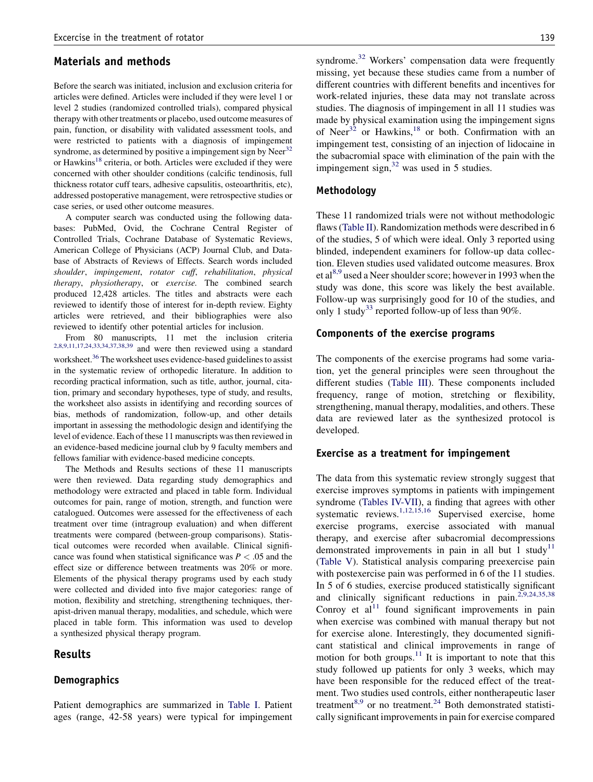# Materials and methods

Before the search was initiated, inclusion and exclusion criteria for articles were defined. Articles were included if they were level 1 or level 2 studies (randomized controlled trials), compared physical therapy with other treatments or placebo, used outcome measures of pain, function, or disability with validated assessment tools, and were restricted to patients with a diagnosis of impingement syndrome, as determined by positive a impingement sign by Neer<sup>[32](#page-18-0)</sup> or Hawkins<sup>18</sup> criteria, or both. Articles were excluded if they were concerned with other shoulder conditions (calcific tendinosis, full thickness rotator cuff tears, adhesive capsulitis, osteoarthritis, etc), addressed postoperative management, were retrospective studies or case series, or used other outcome measures.

A computer search was conducted using the following databases: PubMed, Ovid, the Cochrane Central Register of Controlled Trials, Cochrane Database of Systematic Reviews, American College of Physicians (ACP) Journal Club, and Database of Abstracts of Reviews of Effects. Search words included shoulder, impingement, rotator cuff, rehabilitation, physical therapy, physiotherapy, or exercise. The combined search produced 12,428 articles. The titles and abstracts were each reviewed to identify those of interest for in-depth review. Eighty articles were retrieved, and their bibliographies were also reviewed to identify other potential articles for inclusion.

From 80 manuscripts, 11 met the inclusion criteria [2,8,9,11,17,24,33,34,37,38,39](#page-17-0) and were then reviewed using a standard worksheet.<sup>36</sup> The worksheet uses evidence-based guidelines to assist in the systematic review of orthopedic literature. In addition to recording practical information, such as title, author, journal, citation, primary and secondary hypotheses, type of study, and results, the worksheet also assists in identifying and recording sources of bias, methods of randomization, follow-up, and other details important in assessing the methodologic design and identifying the level of evidence. Each of these 11 manuscripts was then reviewed in an evidence-based medicine journal club by 9 faculty members and fellows familiar with evidence-based medicine concepts.

The Methods and Results sections of these 11 manuscripts were then reviewed. Data regarding study demographics and methodology were extracted and placed in table form. Individual outcomes for pain, range of motion, strength, and function were catalogued. Outcomes were assessed for the effectiveness of each treatment over time (intragroup evaluation) and when different treatments were compared (between-group comparisons). Statistical outcomes were recorded when available. Clinical significance was found when statistical significance was  $P < .05$  and the effect size or difference between treatments was 20% or more. Elements of the physical therapy programs used by each study were collected and divided into five major categories: range of motion, flexibility and stretching, strengthening techniques, therapist-driven manual therapy, modalities, and schedule, which were placed in table form. This information was used to develop a synthesized physical therapy program.

# Results

## Demographics

Patient demographics are summarized in [Table I](#page-2-0). Patient ages (range, 42-58 years) were typical for impingement syndrome.<sup>[32](#page-18-0)</sup> Workers' compensation data were frequently missing, yet because these studies came from a number of different countries with different benefits and incentives for work-related injuries, these data may not translate across studies. The diagnosis of impingement in all 11 studies was made by physical examination using the impingement signs of Neer<sup>[32](#page-18-0)</sup> or Hawkins,<sup>[18](#page-18-0)</sup> or both. Confirmation with an impingement test, consisting of an injection of lidocaine in the subacromial space with elimination of the pain with the impingement sign, $32$  was used in 5 studies.

# Methodology

These 11 randomized trials were not without methodologic flaws ([Table II](#page-3-0)). Randomization methods were described in 6 of the studies, 5 of which were ideal. Only 3 reported using blinded, independent examiners for follow-up data collection. Eleven studies used validated outcome measures. Brox et al<sup>[8,9](#page-18-0)</sup> used a Neer shoulder score; however in 1993 when the study was done, this score was likely the best available. Follow-up was surprisingly good for 10 of the studies, and only 1 study<sup>[33](#page-18-0)</sup> reported follow-up of less than 90%.

#### Components of the exercise programs

The components of the exercise programs had some variation, yet the general principles were seen throughout the different studies ([Table III\)](#page-4-0). These components included frequency, range of motion, stretching or flexibility, strengthening, manual therapy, modalities, and others. These data are reviewed later as the synthesized protocol is developed.

#### Exercise as a treatment for impingement

The data from this systematic review strongly suggest that exercise improves symptoms in patients with impingement syndrome ([Tables IV-VII\)](#page-8-0), a finding that agrees with other systematic reviews.<sup>[1,12,15,16](#page-17-0)</sup> Supervised exercise, home exercise programs, exercise associated with manual therapy, and exercise after subacromial decompressions demonstrated improvements in pain in all but 1 study<sup>[11](#page-18-0)</sup> [\(Table V](#page-11-0)). Statistical analysis comparing preexercise pain with postexercise pain was performed in 6 of the 11 studies. In 5 of 6 studies, exercise produced statistically significant and clinically significant reductions in pain.<sup>[2,9,24,35,38](#page-17-0)</sup> Conroy et  $al<sup>11</sup>$  $al<sup>11</sup>$  $al<sup>11</sup>$  found significant improvements in pain when exercise was combined with manual therapy but not for exercise alone. Interestingly, they documented significant statistical and clinical improvements in range of motion for both groups. $11$  It is important to note that this study followed up patients for only 3 weeks, which may have been responsible for the reduced effect of the treatment. Two studies used controls, either nontherapeutic laser treatment<sup>[8,9](#page-18-0)</sup> or no treatment.<sup>24</sup> Both demonstrated statistically significant improvements in pain for exercise compared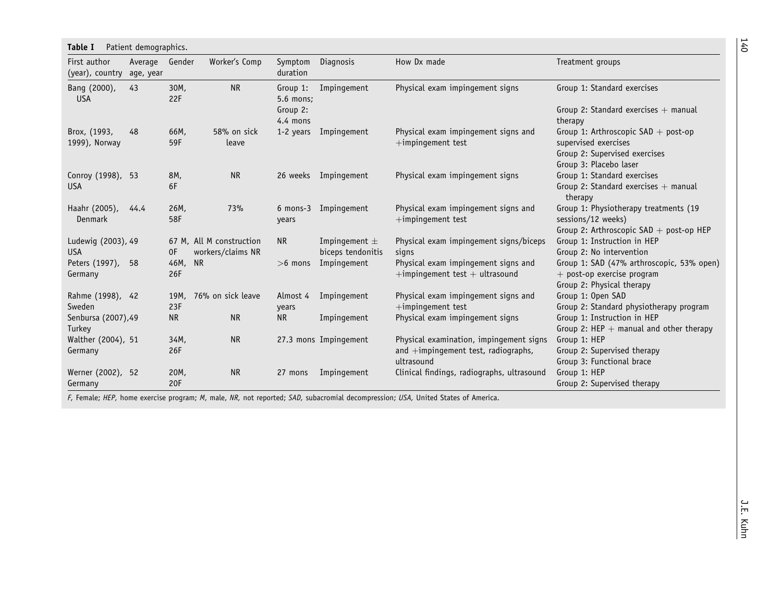<span id="page-2-0"></span>

| Table I | Patient demographics. |
|---------|-----------------------|
|---------|-----------------------|

| First author<br>(year), country | Average<br>age, year | Gender      | Worker's Comp            | Symptom<br>duration    | Diagnosis             | How Dx made                                                                       | Treatment groups                                              |
|---------------------------------|----------------------|-------------|--------------------------|------------------------|-----------------------|-----------------------------------------------------------------------------------|---------------------------------------------------------------|
| Bang (2000),<br><b>USA</b>      | 43                   | 30M,<br>22F | <b>NR</b>                | Group 1:<br>5.6 mons;  | Impingement           | Physical exam impingement signs                                                   | Group 1: Standard exercises                                   |
|                                 |                      |             |                          | Group 2:<br>4.4 mons   |                       |                                                                                   | Group 2: Standard exercises $+$ manual<br>therapy             |
| Brox, (1993,<br>1999), Norway   | 48                   | 66M,<br>59F | 58% on sick<br>leave     | 1-2 years              | Impingement           | Physical exam impingement signs and<br>$+$ impingement test                       | Group 1: Arthroscopic $SAD + post-op$<br>supervised exercises |
|                                 |                      |             |                          |                        |                       |                                                                                   | Group 2: Supervised exercises<br>Group 3: Placebo laser       |
| Conroy (1998), 53               |                      | 8M,         | <b>NR</b>                | 26 weeks               | Impingement           | Physical exam impingement signs                                                   | Group 1: Standard exercises                                   |
| <b>USA</b>                      |                      | 6F          |                          |                        |                       |                                                                                   | Group 2: Standard exercises $+$ manual<br>therapy             |
| Haahr (2005),<br>Denmark        | 44.4                 | 26M,<br>58F | 73%                      | $6$ mons- $3$<br>years | Impingement           | Physical exam impingement signs and<br>$+$ impingement test                       | Group 1: Physiotherapy treatments (19<br>sessions/12 weeks)   |
|                                 |                      |             |                          |                        |                       |                                                                                   | Group 2: Arthroscopic SAD + post-op HEP                       |
| Ludewig (2003), 49              |                      |             | 67 M, All M construction | <b>NR</b>              | Impingement $\pm$     | Physical exam impingement signs/biceps                                            | Group 1: Instruction in HEP                                   |
| <b>USA</b>                      |                      | 0F          | workers/claims NR        |                        | biceps tendonitis     | signs                                                                             | Group 2: No intervention                                      |
| Peters (1997),                  | 58                   | 46M,        | <b>NR</b>                | $>6$ mons              | Impingement           | Physical exam impingement signs and                                               | Group 1: SAD (47% arthroscopic, 53% open)                     |
| Germany                         |                      | 26F         |                          |                        |                       | $+$ impingement test $+$ ultrasound                                               | $+$ post-op exercise program                                  |
|                                 |                      |             |                          |                        |                       |                                                                                   | Group 2: Physical therapy                                     |
| Rahme (1998), 42                |                      |             | 19M, 76% on sick leave   | Almost 4               | Impingement           | Physical exam impingement signs and                                               | Group 1: Open SAD                                             |
| Sweden                          |                      | 23F         |                          | years                  |                       | $+$ impingement test                                                              | Group 2: Standard physiotherapy program                       |
| Senbursa (2007),49              |                      | <b>NR</b>   | <b>NR</b>                | <b>NR</b>              | Impingement           | Physical exam impingement signs                                                   | Group 1: Instruction in HEP                                   |
| Turkey                          |                      | 34M,        | <b>NR</b>                |                        |                       |                                                                                   | Group 2: $\text{HEP}$ + manual and other therapy              |
| Walther (2004), 51<br>Germany   |                      | 26F         |                          |                        | 27.3 mons Impingement | Physical examination, impingement signs<br>and $+$ impingement test, radiographs, | Group 1: HEP<br>Group 2: Supervised therapy                   |
|                                 |                      |             |                          |                        |                       | ultrasound                                                                        | Group 3: Functional brace                                     |
| Werner (2002),                  | 52                   | 20M,        | <b>NR</b>                | 27 mons                | Impingement           | Clinical findings, radiographs, ultrasound                                        | Group 1: HEP                                                  |
| Germany                         |                      | 20F         |                          |                        |                       |                                                                                   | Group 2: Supervised therapy                                   |

F, Female; HEP, home exercise program; M, male, NR, not reported; SAD, subacromial decompression; USA, United States of America.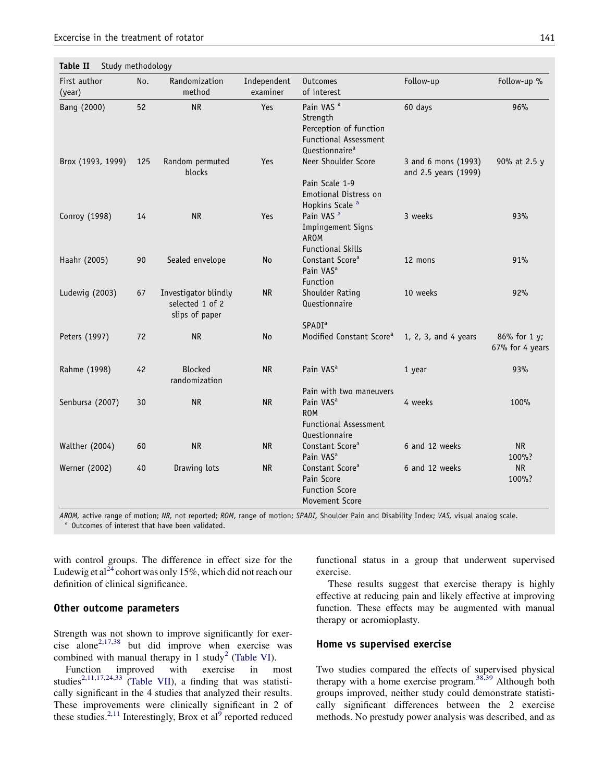<span id="page-3-0"></span>Table II Study methodology

| First author<br>(year) | No.                                                                                                              | Randomization<br>method                                   | Independent<br>examiner | <b>Outcomes</b><br>of interest                                                                                            | Follow-up            | Follow-up %                     |
|------------------------|------------------------------------------------------------------------------------------------------------------|-----------------------------------------------------------|-------------------------|---------------------------------------------------------------------------------------------------------------------------|----------------------|---------------------------------|
| Bang (2000)            | 52                                                                                                               | <b>NR</b>                                                 | Yes                     | Pain VAS <sup>a</sup><br>Strength<br>Perception of function<br><b>Functional Assessment</b><br>Questionnaire <sup>a</sup> | 60 days              | 96%                             |
| Brox (1993, 1999)      | Random permuted<br>Yes<br>125<br>blocks<br>Pain Scale 1-9<br>Emotional Distress on<br>Hopkins Scale <sup>a</sup> |                                                           | Neer Shoulder Score     | 3 and 6 mons (1993)<br>and 2.5 years (1999)                                                                               | 90% at 2.5 y         |                                 |
| Conroy (1998)          | 14                                                                                                               | <b>NR</b>                                                 | Yes                     | Pain VAS <sup>a</sup><br>Impingement Signs<br><b>AROM</b><br><b>Functional Skills</b>                                     | 3 weeks              | 93%                             |
| Haahr (2005)           | 90                                                                                                               | Sealed envelope                                           | No                      | Constant Score <sup>a</sup><br>Pain VAS <sup>a</sup><br>Function                                                          | 12 mons              | 91%                             |
| Ludewig (2003)         | 67                                                                                                               | Investigator blindly<br>selected 1 of 2<br>slips of paper | <b>NR</b>               | Shoulder Rating<br>Questionnaire<br>SPADI <sup>a</sup>                                                                    | 10 weeks             | 92%                             |
| Peters (1997)          | 72                                                                                                               | <b>NR</b>                                                 | <b>No</b>               | Modified Constant Score <sup>a</sup>                                                                                      | 1, 2, 3, and 4 years | 86% for 1 y;<br>67% for 4 years |
| Rahme (1998)           | 42                                                                                                               | <b>Blocked</b><br>randomization                           | <b>NR</b>               | Pain VAS <sup>a</sup>                                                                                                     | 1 year               | 93%                             |
| Senbursa (2007)        | 30                                                                                                               | <b>NR</b>                                                 | <b>NR</b>               | Pain with two maneuvers<br>Pain VAS <sup>a</sup><br><b>ROM</b><br><b>Functional Assessment</b><br><b>Questionnaire</b>    | 4 weeks              | 100%                            |
| <b>Walther (2004)</b>  | 60                                                                                                               | <b>NR</b>                                                 | <b>NR</b>               | Constant Score <sup>a</sup><br>Pain VAS <sup>a</sup>                                                                      | 6 and 12 weeks       | <b>NR</b><br>100%?              |
| Werner (2002)          | 40                                                                                                               | Drawing lots                                              | <b>NR</b>               | Constant Score <sup>a</sup><br>Pain Score<br><b>Function Score</b><br>Movement Score                                      | 6 and 12 weeks       | <b>NR</b><br>100%?              |

AROM, active range of motion; NR, not reported; ROM, range of motion; SPADI, Shoulder Pain and Disability Index; VAS, visual analog scale.  $a$  Outcomes of interest that have been validated.

with control groups. The difference in effect size for the Ludewig et al<sup>[24](#page-18-0)</sup> cohort was only 15%, which did not reach our definition of clinical significance.

#### Other outcome parameters

Strength was not shown to improve significantly for exer-cise alone<sup>[2,17,38](#page-17-0)</sup> but did improve when exercise was combined with manual therapy in 1 study<sup>[2](#page-17-0)</sup> [\(Table VI](#page-13-0)).

Function improved with exercise in most studies<sup>[2,11,17,24,33](#page-17-0)</sup> ([Table VII](#page-14-0)), a finding that was statistically significant in the 4 studies that analyzed their results. These improvements were clinically significant in 2 of these studies.<sup>[2,11](#page-17-0)</sup> Interestingly, Brox et al.<sup>[9](#page-18-0)</sup> reported reduced functional status in a group that underwent supervised exercise.

These results suggest that exercise therapy is highly effective at reducing pain and likely effective at improving function. These effects may be augmented with manual therapy or acromioplasty.

# Home vs supervised exercise

Two studies compared the effects of supervised physical therapy with a home exercise program.<sup>[38,39](#page-18-0)</sup> Although both groups improved, neither study could demonstrate statistically significant differences between the 2 exercise methods. No prestudy power analysis was described, and as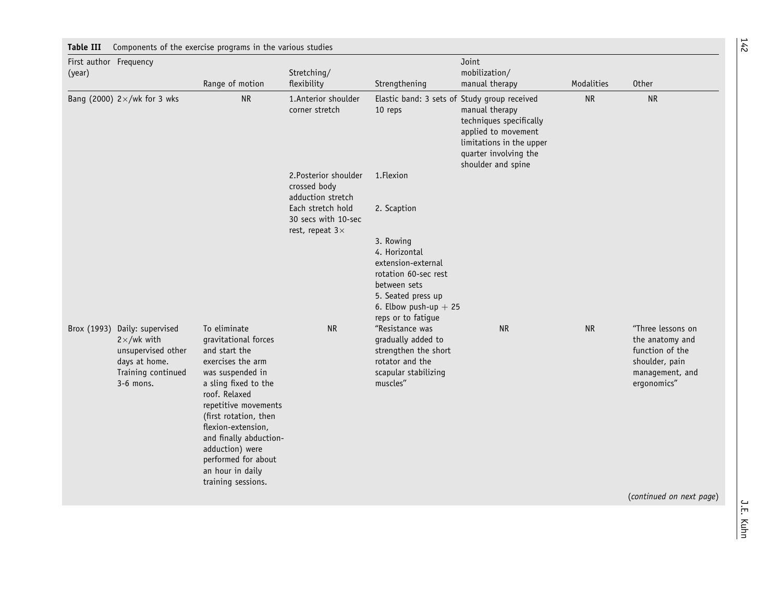<span id="page-4-0"></span>

| First author Frequency<br>(year) |                                                                                                                      | Range of motion                                                                                                                                                                                                                                                                                                              | Stretching/<br>flexibility                                                                                                       | Strengthening                                                                                                                                                  | Joint<br>mobilization/<br>manual therapy                                                                                                    | Modalities | <b>Other</b>                                                                                                |
|----------------------------------|----------------------------------------------------------------------------------------------------------------------|------------------------------------------------------------------------------------------------------------------------------------------------------------------------------------------------------------------------------------------------------------------------------------------------------------------------------|----------------------------------------------------------------------------------------------------------------------------------|----------------------------------------------------------------------------------------------------------------------------------------------------------------|---------------------------------------------------------------------------------------------------------------------------------------------|------------|-------------------------------------------------------------------------------------------------------------|
|                                  | Bang (2000) $2 \times$ /wk for 3 wks                                                                                 | <b>NR</b>                                                                                                                                                                                                                                                                                                                    | 1.Anterior shoulder<br>corner stretch                                                                                            | Elastic band: 3 sets of Study group received<br>10 reps                                                                                                        | manual therapy<br>techniques specifically<br>applied to movement<br>limitations in the upper<br>quarter involving the<br>shoulder and spine | <b>NR</b>  | <b>NR</b>                                                                                                   |
|                                  |                                                                                                                      |                                                                                                                                                                                                                                                                                                                              | 2. Posterior shoulder<br>crossed body<br>adduction stretch<br>Each stretch hold<br>30 secs with 10-sec<br>rest, repeat $3\times$ | 1.Flexion<br>2. Scaption                                                                                                                                       |                                                                                                                                             |            |                                                                                                             |
|                                  |                                                                                                                      |                                                                                                                                                                                                                                                                                                                              |                                                                                                                                  | 3. Rowing<br>4. Horizontal<br>extension-external<br>rotation 60-sec rest<br>between sets<br>5. Seated press up<br>6. Elbow push-up $+25$<br>reps or to fatigue |                                                                                                                                             |            |                                                                                                             |
| Brox (1993)                      | Daily: supervised<br>$2 \times$ /wk with<br>unsupervised other<br>days at home.<br>Training continued<br>$3-6$ mons. | To eliminate<br>gravitational forces<br>and start the<br>exercises the arm<br>was suspended in<br>a sling fixed to the<br>roof. Relaxed<br>repetitive movements<br>(first rotation, then<br>flexion-extension,<br>and finally abduction-<br>adduction) were<br>performed for about<br>an hour in daily<br>training sessions. | <b>NR</b>                                                                                                                        | "Resistance was<br>gradually added to<br>strengthen the short<br>rotator and the<br>scapular stabilizing<br>muscles"                                           | <b>NR</b>                                                                                                                                   | <b>NR</b>  | "Three lessons on<br>the anatomy and<br>function of the<br>shoulder, pain<br>management, and<br>ergonomics" |

J.E. Kuhn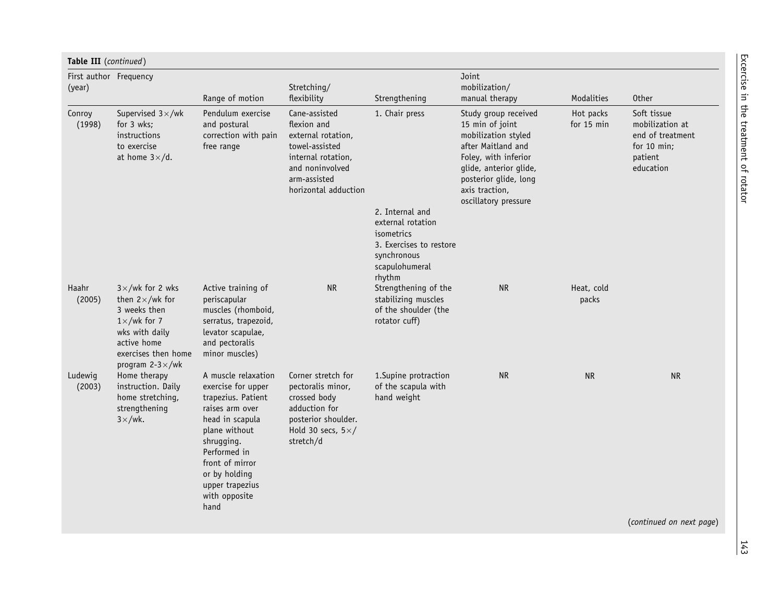| Table III (continued)            |                                                                                                                                                                                 |                                                                                                                                                                                                                                      |                                                                                                                                                       |                                                                                                                          |                                                                                                                                                                                                           |                         |                                                                                             |
|----------------------------------|---------------------------------------------------------------------------------------------------------------------------------------------------------------------------------|--------------------------------------------------------------------------------------------------------------------------------------------------------------------------------------------------------------------------------------|-------------------------------------------------------------------------------------------------------------------------------------------------------|--------------------------------------------------------------------------------------------------------------------------|-----------------------------------------------------------------------------------------------------------------------------------------------------------------------------------------------------------|-------------------------|---------------------------------------------------------------------------------------------|
| First author Frequency<br>(year) |                                                                                                                                                                                 | Range of motion                                                                                                                                                                                                                      | Stretching/<br>flexibility                                                                                                                            | Strengthening                                                                                                            | Joint<br>mobilization/<br>manual therapy                                                                                                                                                                  | Modalities              | <b>Other</b>                                                                                |
| Conroy<br>(1998)                 | Supervised $3 \times$ /wk<br>for 3 wks;<br>instructions<br>to exercise<br>at home $3 \times / d$ .                                                                              | Pendulum exercise<br>and postural<br>correction with pain<br>free range                                                                                                                                                              | Cane-assisted<br>flexion and<br>external rotation,<br>towel-assisted<br>internal rotation,<br>and noninvolved<br>arm-assisted<br>horizontal adduction | 1. Chair press                                                                                                           | Study group received<br>15 min of joint<br>mobilization styled<br>after Maitland and<br>Foley, with inferior<br>glide, anterior glide,<br>posterior glide, long<br>axis traction,<br>oscillatory pressure | Hot packs<br>for 15 min | Soft tissue<br>mobilization at<br>end of treatment<br>for $10$ min;<br>patient<br>education |
|                                  |                                                                                                                                                                                 |                                                                                                                                                                                                                                      |                                                                                                                                                       | 2. Internal and<br>external rotation<br>isometrics<br>3. Exercises to restore<br>synchronous<br>scapulohumeral<br>rhythm |                                                                                                                                                                                                           |                         |                                                                                             |
| Haahr<br>(2005)                  | $3 \times$ /wk for 2 wks<br>then $2 \times$ /wk for<br>3 weeks then<br>$1 \times$ /wk for 7<br>wks with daily<br>active home<br>exercises then home<br>program $2-3 \times /wk$ | Active training of<br>periscapular<br>muscles (rhomboid,<br>serratus, trapezoid,<br>levator scapulae,<br>and pectoralis<br>minor muscles)                                                                                            | <b>NR</b>                                                                                                                                             | Strengthening of the<br>stabilizing muscles<br>of the shoulder (the<br>rotator cuff)                                     | <b>NR</b>                                                                                                                                                                                                 | Heat, cold<br>packs     |                                                                                             |
| Ludewig<br>(2003)                | Home therapy<br>instruction. Daily<br>home stretching,<br>strengthening<br>$3 \times$ /wk.                                                                                      | A muscle relaxation<br>exercise for upper<br>trapezius. Patient<br>raises arm over<br>head in scapula<br>plane without<br>shrugging.<br>Performed in<br>front of mirror<br>or by holding<br>upper trapezius<br>with opposite<br>hand | Corner stretch for<br>pectoralis minor,<br>crossed body<br>adduction for<br>posterior shoulder.<br>Hold 30 secs, $5 \times$ /<br>stretch/d            | 1. Supine protraction<br>of the scapula with<br>hand weight                                                              | <b>NR</b>                                                                                                                                                                                                 | <b>NR</b>               | <b>NR</b>                                                                                   |
|                                  |                                                                                                                                                                                 |                                                                                                                                                                                                                                      |                                                                                                                                                       |                                                                                                                          |                                                                                                                                                                                                           |                         | (continued on next page)                                                                    |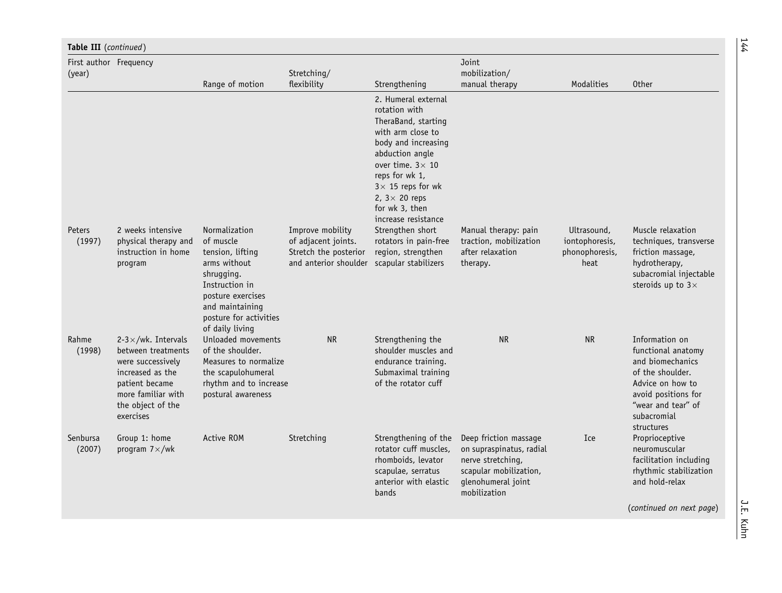| Table III (continued)            |                                                                                                                                                                     |                                                                                                                                                                                     |                                                                                                                |                                                                                                                                                                                                                                                                         |                                                                                                                                        |                                                         |                                                                                                                                                                            |
|----------------------------------|---------------------------------------------------------------------------------------------------------------------------------------------------------------------|-------------------------------------------------------------------------------------------------------------------------------------------------------------------------------------|----------------------------------------------------------------------------------------------------------------|-------------------------------------------------------------------------------------------------------------------------------------------------------------------------------------------------------------------------------------------------------------------------|----------------------------------------------------------------------------------------------------------------------------------------|---------------------------------------------------------|----------------------------------------------------------------------------------------------------------------------------------------------------------------------------|
| First author Frequency<br>(year) |                                                                                                                                                                     | Range of motion                                                                                                                                                                     | Stretching/<br>flexibility                                                                                     | Strengthening                                                                                                                                                                                                                                                           | Joint<br>mobilization/<br>manual therapy                                                                                               | Modalities                                              | <b>Other</b>                                                                                                                                                               |
|                                  |                                                                                                                                                                     |                                                                                                                                                                                     |                                                                                                                | 2. Humeral external<br>rotation with<br>TheraBand, starting<br>with arm close to<br>body and increasing<br>abduction angle<br>over time. $3 \times 10$<br>reps for wk 1,<br>$3 \times 15$ reps for wk<br>2, $3 \times 20$ reps<br>for wk 3, then<br>increase resistance |                                                                                                                                        |                                                         |                                                                                                                                                                            |
| Peters<br>(1997)                 | 2 weeks intensive<br>physical therapy and<br>instruction in home<br>program                                                                                         | Normalization<br>of muscle<br>tension, lifting<br>arms without<br>shrugging.<br>Instruction in<br>posture exercises<br>and maintaining<br>posture for activities<br>of daily living | Improve mobility<br>of adjacent joints.<br>Stretch the posterior<br>and anterior shoulder scapular stabilizers | Strengthen short<br>rotators in pain-free<br>region, strengthen                                                                                                                                                                                                         | Manual therapy: pain<br>traction, mobilization<br>after relaxation<br>therapy.                                                         | Ultrasound,<br>iontophoresis,<br>phonophoresis,<br>heat | Muscle relaxation<br>techniques, transverse<br>friction massage,<br>hydrotherapy,<br>subacromial injectable<br>steroids up to $3\times$                                    |
| Rahme<br>(1998)                  | $2-3\times$ /wk. Intervals<br>between treatments<br>were successively<br>increased as the<br>patient became<br>more familiar with<br>the object of the<br>exercises | Unloaded movements<br>of the shoulder.<br>Measures to normalize<br>the scapulohumeral<br>rhythm and to increase<br>postural awareness                                               | <b>NR</b>                                                                                                      | Strengthening the<br>shoulder muscles and<br>endurance training.<br>Submaximal training<br>of the rotator cuff                                                                                                                                                          | <b>NR</b>                                                                                                                              | <b>NR</b>                                               | Information on<br>functional anatomy<br>and biomechanics<br>of the shoulder.<br>Advice on how to<br>avoid positions for<br>"wear and tear" of<br>subacromial<br>structures |
| Senbursa<br>(2007)               | Group 1: home<br>program $7 \times$ /wk                                                                                                                             | Active ROM                                                                                                                                                                          | Stretching                                                                                                     | Strengthening of the<br>rotator cuff muscles,<br>rhomboids, levator<br>scapulae, serratus<br>anterior with elastic<br>bands                                                                                                                                             | Deep friction massage<br>on supraspinatus, radial<br>nerve stretching,<br>scapular mobilization,<br>glenohumeral joint<br>mobilization | Ice                                                     | Proprioceptive<br>neuromuscular<br>facilitation including<br>rhythmic stabilization<br>and hold-relax                                                                      |

J.E. Kuhn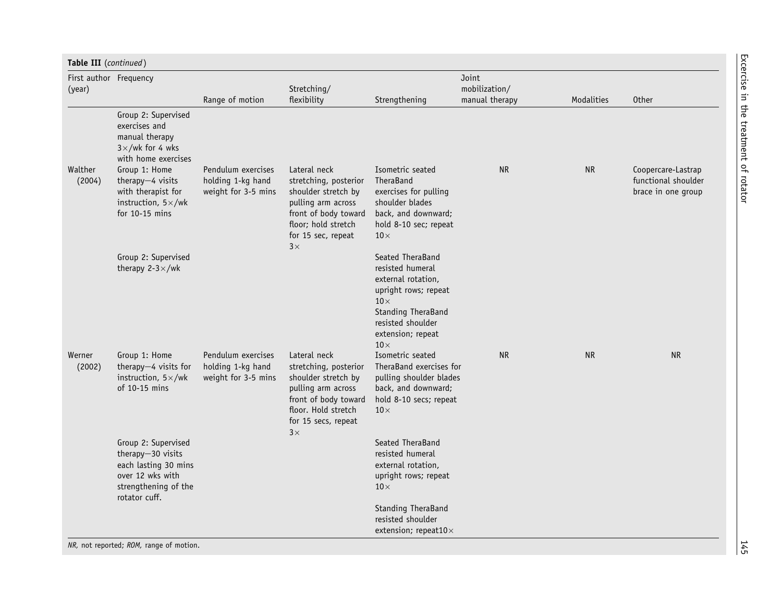| Table III (continued)            |                                                                                                                               |                                                                |                                                                                                                                                                       |                                                                                                                                                                                |                                          |            |                                           |
|----------------------------------|-------------------------------------------------------------------------------------------------------------------------------|----------------------------------------------------------------|-----------------------------------------------------------------------------------------------------------------------------------------------------------------------|--------------------------------------------------------------------------------------------------------------------------------------------------------------------------------|------------------------------------------|------------|-------------------------------------------|
| First author Frequency<br>(year) |                                                                                                                               | Range of motion                                                | Stretching/<br>flexibility                                                                                                                                            | Strengthening                                                                                                                                                                  | Joint<br>mobilization/<br>manual therapy | Modalities | <b>Other</b>                              |
| Walther                          | Group 2: Supervised<br>exercises and<br>manual therapy<br>$3 \times$ /wk for 4 wks<br>with home exercises<br>Group 1: Home    | Pendulum exercises                                             | Lateral neck                                                                                                                                                          | Isometric seated                                                                                                                                                               | <b>NR</b>                                | <b>NR</b>  | Coopercare-Lastrap                        |
| (2004)                           | therapy-4 visits<br>with therapist for<br>instruction, $5 \times$ /wk<br>for $10-15$ mins                                     | holding 1-kg hand<br>weight for 3-5 mins                       | stretching, posterior<br>shoulder stretch by<br>pulling arm across<br>front of body toward<br>floor; hold stretch<br>for 15 sec, repeat<br>$3\times$                  | TheraBand<br>exercises for pulling<br>shoulder blades<br>back, and downward;<br>hold 8-10 sec; repeat<br>$10\times$                                                            |                                          |            | functional shoulder<br>brace in one group |
|                                  | Group 2: Supervised<br>therapy $2-3 \times /wk$                                                                               |                                                                |                                                                                                                                                                       | Seated TheraBand<br>resisted humeral<br>external rotation,<br>upright rows; repeat<br>$10\times$<br>Standing TheraBand<br>resisted shoulder<br>extension; repeat<br>$10\times$ |                                          |            |                                           |
| Werner<br>(2002)                 | Group 1: Home<br>therapy-4 visits for<br>instruction, $5 \times$ /wk<br>of 10-15 mins                                         | Pendulum exercises<br>holding 1-kg hand<br>weight for 3-5 mins | Lateral neck<br>stretching, posterior<br>shoulder stretch by<br>pulling arm across<br>front of body toward<br>floor. Hold stretch<br>for 15 secs, repeat<br>$3\times$ | Isometric seated<br>TheraBand exercises for<br>pulling shoulder blades<br>back, and downward;<br>hold 8-10 secs; repeat<br>$10\times$                                          | <b>NR</b>                                | <b>NR</b>  | <b>NR</b>                                 |
|                                  | Group 2: Supervised<br>therapy-30 visits<br>each lasting 30 mins<br>over 12 wks with<br>strengthening of the<br>rotator cuff. |                                                                |                                                                                                                                                                       | Seated TheraBand<br>resisted humeral<br>external rotation,<br>upright rows; repeat<br>$10\times$                                                                               |                                          |            |                                           |
|                                  |                                                                                                                               |                                                                |                                                                                                                                                                       | <b>Standing TheraBand</b><br>resisted shoulder<br>extension; repeat10 $\times$                                                                                                 |                                          |            |                                           |

Excercise in the treatment of rotator

Excercise in the treatment of rotator

NR, not reported; ROM, range of motion.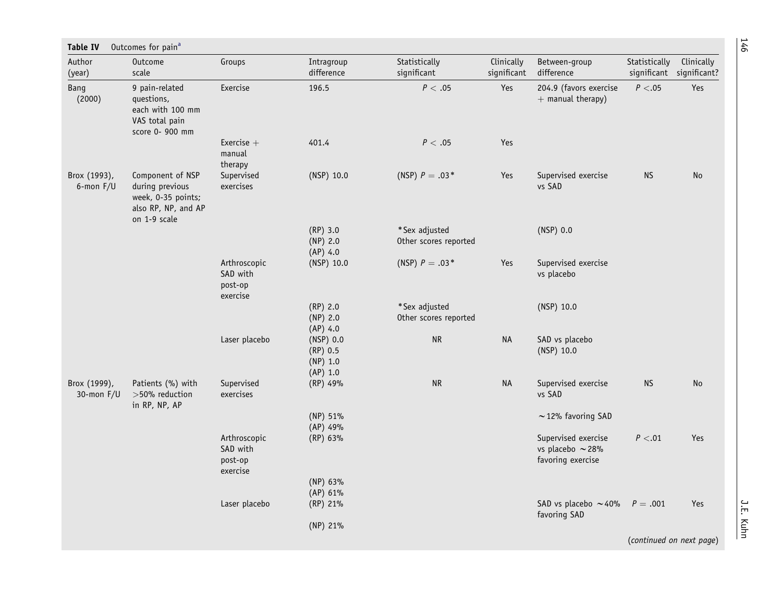<span id="page-8-0"></span>

| Author<br>(year)               | Outcome<br>scale                                                                                 | Groups                                          | Intragroup<br>difference                      | Statistically<br>significant           | Clinically<br>significant | Between-group<br>difference                                       | Statistically | Clinically<br>significant significant? |
|--------------------------------|--------------------------------------------------------------------------------------------------|-------------------------------------------------|-----------------------------------------------|----------------------------------------|---------------------------|-------------------------------------------------------------------|---------------|----------------------------------------|
| Bang<br>(2000)                 | 9 pain-related<br>questions,<br>each with 100 mm<br>VAS total pain<br>score 0- 900 mm            | Exercise                                        | 196.5                                         | P < .05                                | Yes                       | 204.9 (favors exercise<br>$+$ manual therapy)                     | P < .05       | Yes                                    |
|                                |                                                                                                  | Exercise $+$<br>manual<br>therapy               | 401.4                                         | P < .05                                | Yes                       |                                                                   |               |                                        |
| Brox (1993),<br>$6$ -mon $F/U$ | Component of NSP<br>during previous<br>week, 0-35 points;<br>also RP, NP, and AP<br>on 1-9 scale | Supervised<br>exercises                         | (NSP) 10.0                                    | (NSP) $P = .03*$                       | Yes                       | Supervised exercise<br>vs SAD                                     | <b>NS</b>     | No                                     |
|                                |                                                                                                  |                                                 | (RP) 3.0<br>(NP) 2.0<br>$(AP)$ 4.0            | *Sex adjusted<br>Other scores reported |                           | (NSP) 0.0                                                         |               |                                        |
|                                |                                                                                                  | Arthroscopic<br>SAD with<br>post-op<br>exercise | (NSP) 10.0                                    | (NSP) $P = .03*$                       | Yes                       | Supervised exercise<br>vs placebo                                 |               |                                        |
|                                |                                                                                                  |                                                 | (RP) 2.0<br>(NP) 2.0<br>$(AP)$ 4.0            | *Sex adjusted<br>Other scores reported |                           | (NSP) 10.0                                                        |               |                                        |
|                                |                                                                                                  | Laser placebo                                   | (NSP) 0.0<br>(RP) 0.5<br>(NP) 1.0<br>(AP) 1.0 | <b>NR</b>                              | <b>NA</b>                 | SAD vs placebo<br>(NSP) 10.0                                      |               |                                        |
| Brox (1999),<br>30-mon F/U     | Patients (%) with<br>>50% reduction<br>in RP, NP, AP                                             | Supervised<br>exercises                         | (RP) 49%                                      | ${\sf NR}$                             | $\sf NA$                  | Supervised exercise<br>vs SAD                                     | <b>NS</b>     | No                                     |
|                                |                                                                                                  |                                                 | (NP) 51%<br>$(AP)$ 49%                        |                                        |                           | $\sim$ 12% favoring SAD                                           |               |                                        |
|                                |                                                                                                  | Arthroscopic<br>SAD with<br>post-op<br>exercise | (RP) 63%                                      |                                        |                           | Supervised exercise<br>vs placebo $\sim$ 28%<br>favoring exercise | P < .01       | Yes                                    |
|                                |                                                                                                  |                                                 | (NP) 63%<br>(AP) 61%                          |                                        |                           |                                                                   |               |                                        |
|                                |                                                                                                  | Laser placebo                                   | (RP) 21%                                      |                                        |                           | SAD vs placebo $\sim$ 40% $P = .001$<br>favoring SAD              |               | Yes                                    |
|                                |                                                                                                  |                                                 | (NP) 21%                                      |                                        |                           |                                                                   |               | (continued on next page)               |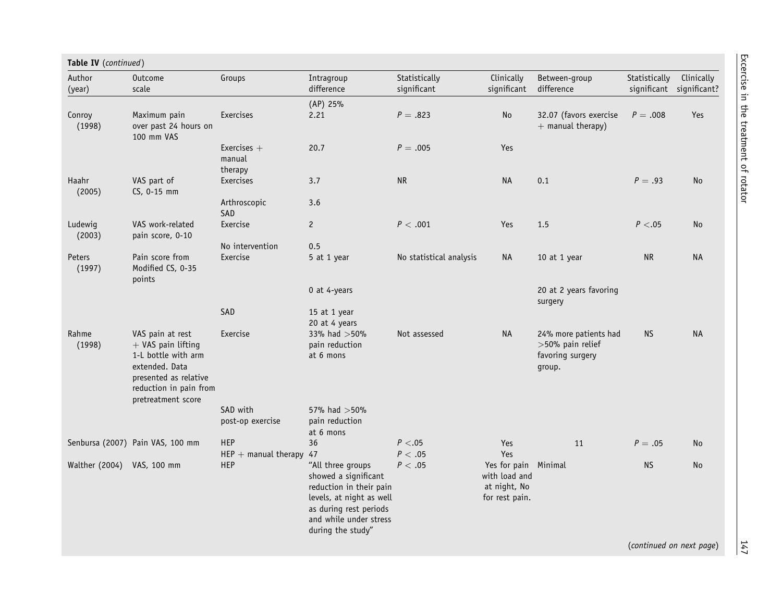| Outcome<br>scale                                                                                                                     | Groups                                                                                                          | Intragroup                                                                                                                                    | Statistically                                         | Clinically                                                                 | Between-group                                                           | Statistically                                                | Clinically                                       |
|--------------------------------------------------------------------------------------------------------------------------------------|-----------------------------------------------------------------------------------------------------------------|-----------------------------------------------------------------------------------------------------------------------------------------------|-------------------------------------------------------|----------------------------------------------------------------------------|-------------------------------------------------------------------------|--------------------------------------------------------------|--------------------------------------------------|
|                                                                                                                                      |                                                                                                                 | difference                                                                                                                                    | significant                                           | significant                                                                | difference                                                              |                                                              | significant significant?                         |
|                                                                                                                                      |                                                                                                                 | (AP) 25%                                                                                                                                      |                                                       |                                                                            |                                                                         |                                                              |                                                  |
| Maximum pain<br>over past 24 hours on<br>100 mm VAS                                                                                  | Exercises                                                                                                       | 2.21                                                                                                                                          | $P = .823$                                            | No                                                                         | 32.07 (favors exercise<br>$+$ manual therapy)                           | $P=.008$                                                     | Yes                                              |
|                                                                                                                                      | Exercises $+$<br>manual                                                                                         | 20.7                                                                                                                                          | $P=.005$                                              | Yes                                                                        |                                                                         |                                                              |                                                  |
| VAS part of<br>CS, 0-15 mm                                                                                                           | <b>Exercises</b>                                                                                                | 3.7                                                                                                                                           | <b>NR</b>                                             | <b>NA</b>                                                                  | 0.1                                                                     | $P=.93$                                                      | <b>No</b>                                        |
|                                                                                                                                      | Arthroscopic<br>SAD                                                                                             | 3.6                                                                                                                                           |                                                       |                                                                            |                                                                         |                                                              |                                                  |
| pain score, 0-10                                                                                                                     |                                                                                                                 | $\overline{2}$                                                                                                                                |                                                       | Yes                                                                        |                                                                         |                                                              | No                                               |
|                                                                                                                                      | No intervention                                                                                                 |                                                                                                                                               |                                                       |                                                                            |                                                                         |                                                              |                                                  |
| Modified CS, 0-35<br>points                                                                                                          |                                                                                                                 |                                                                                                                                               |                                                       |                                                                            |                                                                         |                                                              | <b>NA</b>                                        |
|                                                                                                                                      |                                                                                                                 | 0 at 4-years                                                                                                                                  |                                                       |                                                                            | 20 at 2 years favoring<br>surgery                                       |                                                              |                                                  |
|                                                                                                                                      | SAD                                                                                                             | 15 at 1 year<br>20 at 4 years                                                                                                                 |                                                       |                                                                            |                                                                         |                                                              |                                                  |
| VAS pain at rest<br>$+$ VAS pain lifting<br>1-L bottle with arm<br>extended. Data<br>presented as relative<br>reduction in pain from | Exercise                                                                                                        | pain reduction<br>at 6 mons                                                                                                                   | Not assessed                                          | <b>NA</b>                                                                  | 24% more patients had<br>>50% pain relief<br>favoring surgery<br>group. | <b>NS</b>                                                    | <b>NA</b>                                        |
|                                                                                                                                      | SAD with<br>post-op exercise                                                                                    | 57% had $>50\%$<br>pain reduction                                                                                                             |                                                       |                                                                            |                                                                         |                                                              |                                                  |
|                                                                                                                                      | <b>HEP</b>                                                                                                      | 36                                                                                                                                            | P < .05                                               | Yes                                                                        | 11                                                                      | $P=.05$                                                      | No                                               |
| VAS, 100 mm                                                                                                                          | <b>HEP</b>                                                                                                      | "All three groups<br>showed a significant<br>reduction in their pain<br>as during rest periods<br>and while under stress<br>during the study" | P < .05                                               | at night, No<br>for rest pain.                                             |                                                                         | <b>NS</b>                                                    | No                                               |
|                                                                                                                                      | VAS work-related<br>Pain score from<br>pretreatment score<br>Senbursa (2007) Pain VAS, 100 mm<br>Walther (2004) | therapy<br>Exercise<br>Exercise<br>$HEP + manual$ therapy                                                                                     | 0.5<br>5 at 1 year<br>33% had >50%<br>at 6 mons<br>47 | P < .001<br>No statistical analysis<br>P < .05<br>levels, at night as well | <b>NA</b><br>Yes                                                        | 1.5<br>10 at 1 year<br>Yes for pain Minimal<br>with load and | P < .05<br><b>NR</b><br>(continued on next page) |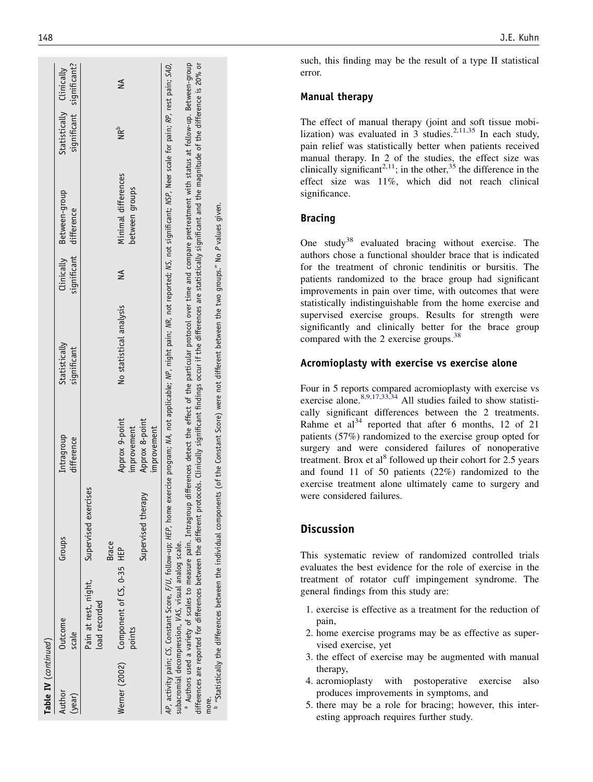<span id="page-10-0"></span>

| [able IV (continued) |                                                                                                                                                                                                       |                                      |                               |                                                                                                                                                                                                                                                                                                                                                                                                                                                                                                                                                                                                                                                                    |             |                                        |                                                      |               |
|----------------------|-------------------------------------------------------------------------------------------------------------------------------------------------------------------------------------------------------|--------------------------------------|-------------------------------|--------------------------------------------------------------------------------------------------------------------------------------------------------------------------------------------------------------------------------------------------------------------------------------------------------------------------------------------------------------------------------------------------------------------------------------------------------------------------------------------------------------------------------------------------------------------------------------------------------------------------------------------------------------------|-------------|----------------------------------------|------------------------------------------------------|---------------|
| Author<br>(year)     | Outcome<br>scale                                                                                                                                                                                      | Groups                               | Intragroup<br>difference      | Statistically<br>significant                                                                                                                                                                                                                                                                                                                                                                                                                                                                                                                                                                                                                                       | significant | Clinically Between-group<br>difference | significant significant?<br>Statistically Clinically |               |
|                      | Pain at rest, night,<br>load recorded                                                                                                                                                                 | Supervised exercises<br><b>Brace</b> |                               |                                                                                                                                                                                                                                                                                                                                                                                                                                                                                                                                                                                                                                                                    |             |                                        |                                                      |               |
| Werner (2002)        | Component of CS, 0-35 HEP<br>points                                                                                                                                                                   |                                      | Approx 9-point<br>improvement | No statistical analysis                                                                                                                                                                                                                                                                                                                                                                                                                                                                                                                                                                                                                                            | ≸           | Minimal differences<br>between groups  | NR <sup>b</sup>                                      | $\frac{4}{2}$ |
|                      |                                                                                                                                                                                                       | Supervised therapy                   | Approx 8-point<br>improvement |                                                                                                                                                                                                                                                                                                                                                                                                                                                                                                                                                                                                                                                                    |             |                                        |                                                      |               |
| more.                | <sup>a</sup> Authors used a variety of scales to measure pain. Intragroup<br>AP, activity pain; CS, Constant Score, F/U, follow-up; HEP, home<br>subacromial decompression, VAS, visual analog scale. |                                      |                               | differences detect the effect of the particular protocol over time and compare pretreatment with status at follow-up. Between-group<br>differences are reported for differences between the different protocols. Clinically significant findings occur if the differences are statistically significant and the magnitude of the difference is 20% or<br>exercise program; MA, not applicable; MP, night pain; MR, not reported; MS, not significant; MSP, Neer scale for pain; RP, rest pain; SAD,<br>, "Statistically the differences between the individual components (of the Constant Score) were not different between the two groups." No P values given. " |             |                                        |                                                      |               |
|                      |                                                                                                                                                                                                       |                                      |                               |                                                                                                                                                                                                                                                                                                                                                                                                                                                                                                                                                                                                                                                                    |             |                                        |                                                      |               |

such, this finding may be the result of a type II statistical error.

## Manual therapy

The effect of manual therapy (joint and soft tissue mobilization) was evaluated in  $3$  studies.<sup>[2,11,35](#page-17-0)</sup> In each study, pain relief was statistically better when patients received manual therapy. In 2 of the studies, the effect size was clinically significant<sup>2,11</sup>; in the other,<sup>35</sup> the difference in the effect size was 11%, which did not reach clinical significance.

## Bracing

One study<sup>[38](#page-18-0)</sup> evaluated bracing without exercise. The authors chose a functional shoulder brace that is indicated for the treatment of chronic tendinitis or bursitis. The patients randomized to the brace group had significant improvements in pain over time, with outcomes that were statistically indistinguishable from the home exercise and supervised exercise groups. Results for strength were significantly and clinically better for the brace group compared with the 2 exercise groups.<sup>38</sup>

#### Acromioplasty with exercise vs exercise alone

Four in 5 reports compared acromioplasty with exercise vs exercise alone.<sup>[8,9,17,33,34](#page-18-0)</sup> All studies failed to show statistically significant differences between the 2 treatments. Rahme et al<sup>[34](#page-18-0)</sup> reported that after 6 months, 12 of 21 patients (57%) randomized to the exercise group opted for surgery and were considered failures of nonoperative treatment. Brox et al<sup>[8](#page-18-0)</sup> followed up their cohort for  $2.5$  years and found 11 of 50 patients (22%) randomized to the exercise treatment alone ultimately came to surgery and were considered failures.

# **Discussion**

This systematic review of randomized controlled trials evaluates the best evidence for the role of exercise in the treatment of rotator cuff impingement syndrome. The general findings from this study are:

- 1. exercise is effective as a treatment for the reduction of pain,
- 2. home exercise programs may be as effective as supervised exercise, yet
- 3. the effect of exercise may be augmented with manual therapy,
- 4. acromioplasty with postoperative exercise also produces improvements in symptoms, and
- 5. there may be a role for bracing; however, this interesting approach requires further study.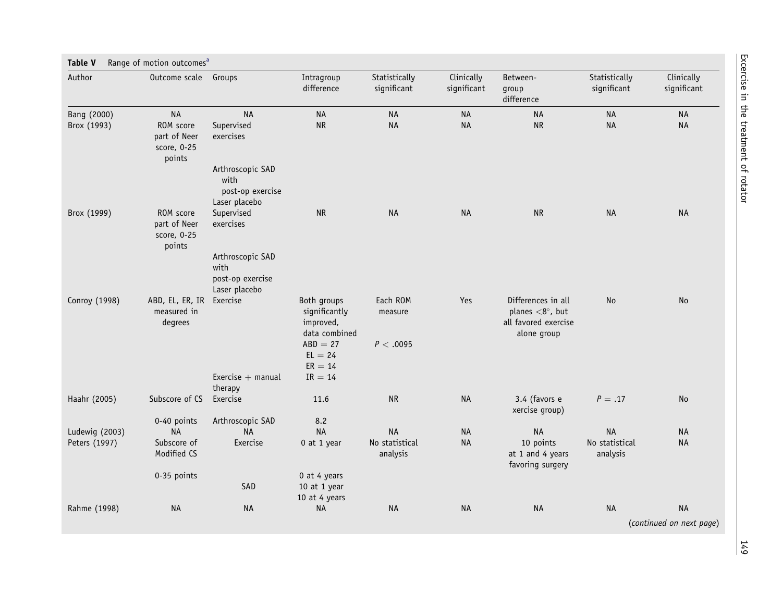<span id="page-11-0"></span>

| Author         | Outcome scale Groups                               |                                                               | Intragroup<br>difference                                   | Statistically<br>significant | Clinically<br>significant | Between-<br>group<br>difference                                                            | Statistically<br>significant | Clinically<br>significant |
|----------------|----------------------------------------------------|---------------------------------------------------------------|------------------------------------------------------------|------------------------------|---------------------------|--------------------------------------------------------------------------------------------|------------------------------|---------------------------|
| Bang (2000)    | $\sf NA$                                           | <b>NA</b>                                                     | $\sf NA$                                                   | <b>NA</b>                    | <b>NA</b>                 | <b>NA</b>                                                                                  | <b>NA</b>                    | <b>NA</b>                 |
| Brox (1993)    | ROM score<br>part of Neer<br>score, 0-25<br>points | Supervised<br>exercises                                       | <b>NR</b>                                                  | <b>NA</b>                    | <b>NA</b>                 | <b>NR</b>                                                                                  | <b>NA</b>                    | <b>NA</b>                 |
|                |                                                    | Arthroscopic SAD<br>with<br>post-op exercise<br>Laser placebo |                                                            |                              |                           |                                                                                            |                              |                           |
| Brox (1999)    | ROM score<br>part of Neer<br>score, 0-25<br>points | Supervised<br>exercises                                       | <b>NR</b>                                                  | <b>NA</b>                    | <b>NA</b>                 | <b>NR</b>                                                                                  | <b>NA</b>                    | <b>NA</b>                 |
|                |                                                    | Arthroscopic SAD<br>with<br>post-op exercise<br>Laser placebo |                                                            |                              |                           |                                                                                            |                              |                           |
| Conroy (1998)  | ABD, EL, ER, IR Exercise<br>measured in<br>degrees |                                                               | Both groups<br>significantly<br>improved,<br>data combined | Each ROM<br>measure          | Yes                       | Differences in all<br>planes $<$ 8 $^{\circ}$ , but<br>all favored exercise<br>alone group | No                           | No                        |
|                |                                                    | Exercise $+$ manual                                           | $ABD = 27$<br>$EL = 24$<br>$ER = 14$<br>$IR = 14$          | P < .0095                    |                           |                                                                                            |                              |                           |
| Haahr (2005)   | Subscore of CS                                     | therapy<br>Exercise                                           | 11.6                                                       | ${\sf NR}$                   | <b>NA</b>                 | 3.4 (favors e<br>xercise group)                                                            | $P=.17$                      | No                        |
|                | 0-40 points                                        | Arthroscopic SAD                                              | 8.2                                                        |                              |                           |                                                                                            |                              |                           |
| Ludewig (2003) | <b>NA</b>                                          | <b>NA</b>                                                     | <b>NA</b>                                                  | <b>NA</b>                    | <b>NA</b>                 | <b>NA</b>                                                                                  | <b>NA</b>                    | <b>NA</b>                 |
| Peters (1997)  | Subscore of<br>Modified CS                         | Exercise                                                      | 0 at 1 year                                                | No statistical<br>analysis   | NA                        | 10 points<br>at 1 and 4 years<br>favoring surgery                                          | No statistical<br>analysis   | <b>NA</b>                 |
|                | 0-35 points                                        | SAD                                                           | 0 at 4 years<br>10 at 1 year<br>10 at 4 years              |                              |                           |                                                                                            |                              |                           |
| Rahme (1998)   | <b>NA</b>                                          | <b>NA</b>                                                     | <b>NA</b>                                                  | <b>NA</b>                    | <b>NA</b>                 | <b>NA</b>                                                                                  | <b>NA</b>                    | <b>NA</b>                 |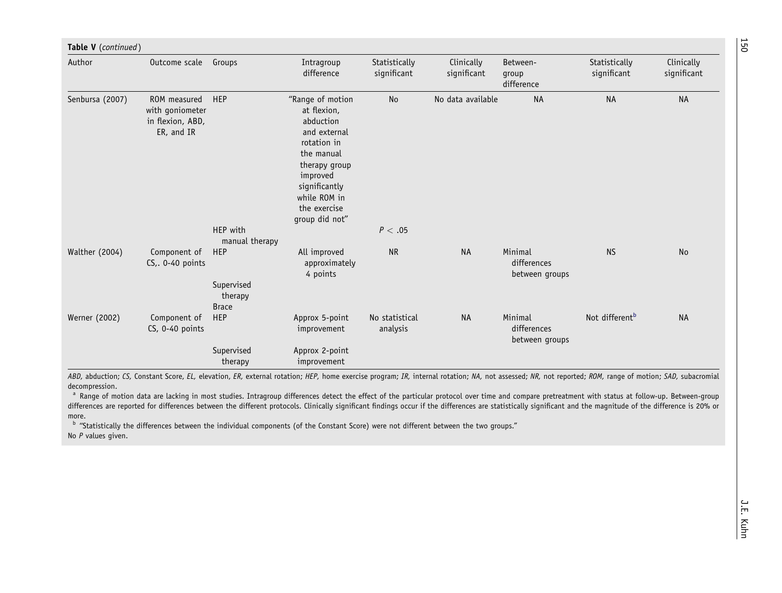<span id="page-12-0"></span>

| Table V (continued)   |                                                                   |                                                     |                                                                                                                                                                                           |                              |                           |                                          |                              |                           |
|-----------------------|-------------------------------------------------------------------|-----------------------------------------------------|-------------------------------------------------------------------------------------------------------------------------------------------------------------------------------------------|------------------------------|---------------------------|------------------------------------------|------------------------------|---------------------------|
| Author                | Outcome scale                                                     | Groups                                              | Intragroup<br>difference                                                                                                                                                                  | Statistically<br>significant | Clinically<br>significant | Between-<br>group<br>difference          | Statistically<br>significant | Clinically<br>significant |
| Senbursa (2007)       | ROM measured<br>with goniometer<br>in flexion, ABD,<br>ER, and IR | HEP<br>HEP with                                     | "Range of motion<br>at flexion,<br>abduction<br>and external<br>rotation in<br>the manual<br>therapy group<br>improved<br>significantly<br>while ROM in<br>the exercise<br>group did not" | <b>No</b><br>P < .05         | No data available         | <b>NA</b>                                | <b>NA</b>                    | <b>NA</b>                 |
|                       |                                                                   | manual therapy                                      |                                                                                                                                                                                           |                              |                           |                                          |                              |                           |
| <b>Walther (2004)</b> | Component of<br>CS,. 0-40 points                                  | <b>HEP</b><br>Supervised<br>therapy<br><b>Brace</b> | All improved<br>approximately<br>4 points                                                                                                                                                 | <b>NR</b>                    | <b>NA</b>                 | Minimal<br>differences<br>between groups | <b>NS</b>                    | No                        |
| Werner (2002)         | Component of<br>$CS$ , 0-40 points                                | <b>HEP</b><br>Supervised                            | Approx 5-point<br>improvement<br>Approx 2-point                                                                                                                                           | No statistical<br>analysis   | <b>NA</b>                 | Minimal<br>differences<br>between groups | Not different <sup>b</sup>   | <b>NA</b>                 |
|                       |                                                                   | therapy                                             | improvement                                                                                                                                                                               |                              |                           |                                          |                              |                           |

ABD, abduction; CS, Constant Score, EL, elevation, ER, external rotation; HEP, home exercise program; IR, internal rotation; NA, not assessed; NR, not reported; ROM, range of motion; SAD, subacromial decompression.

 $\mathrm{^a}$  Range of motion data are lacking in most studies. Intragroup differences detect the effect of the particular protocol over time and compare pretreatment with status at follow-up. Between-group differences are reported for differences between the different protocols. Clinically significant findings occur if the differences are statistically significant and the magnitude of the difference is 20% or more.

<sup>b</sup> "Statistically the differences between the individual components (of the Constant Score) were not different between the two groups."

No P values given.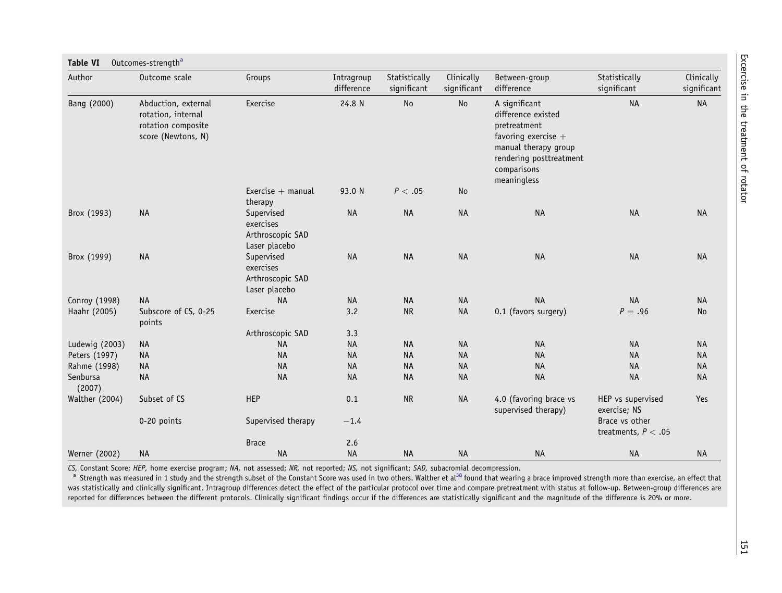<span id="page-13-0"></span>

| Author             | Outcome scale                                                                         | Groups                                                       | Intragroup<br>difference | Statistically<br>significant | Clinically<br>significant | Between-group<br>difference                                                                                                                                   | Statistically<br>significant            | Clinically<br>significant |
|--------------------|---------------------------------------------------------------------------------------|--------------------------------------------------------------|--------------------------|------------------------------|---------------------------|---------------------------------------------------------------------------------------------------------------------------------------------------------------|-----------------------------------------|---------------------------|
| Bang (2000)        | Abduction, external<br>rotation, internal<br>rotation composite<br>score (Newtons, N) | Exercise                                                     | 24.8 N                   | No                           | No                        | A significant<br>difference existed<br>pretreatment<br>favoring exercise $+$<br>manual therapy group<br>rendering posttreatment<br>comparisons<br>meaningless | <b>NA</b>                               | <b>NA</b>                 |
|                    |                                                                                       | Exercise $+$ manual<br>therapy                               | 93.0 N                   | P < .05                      | No                        |                                                                                                                                                               |                                         |                           |
| Brox (1993)        | <b>NA</b>                                                                             | Supervised<br>exercises<br>Arthroscopic SAD<br>Laser placebo | <b>NA</b>                | <b>NA</b>                    | <b>NA</b>                 | <b>NA</b>                                                                                                                                                     | <b>NA</b>                               | <b>NA</b>                 |
| Brox (1999)        | <b>NA</b>                                                                             | Supervised<br>exercises<br>Arthroscopic SAD<br>Laser placebo | <b>NA</b>                | <b>NA</b>                    | <b>NA</b>                 | <b>NA</b>                                                                                                                                                     | <b>NA</b>                               | <b>NA</b>                 |
| Conroy (1998)      | <b>NA</b>                                                                             | <b>NA</b>                                                    | <b>NA</b>                | <b>NA</b>                    | <b>NA</b>                 | <b>NA</b>                                                                                                                                                     | <b>NA</b>                               | <b>NA</b>                 |
| Haahr (2005)       | Subscore of CS, 0-25<br>points                                                        | Exercise                                                     | 3.2                      | <b>NR</b>                    | <b>NA</b>                 | 0.1 (favors surgery)                                                                                                                                          | $P=.96$                                 | No                        |
|                    |                                                                                       | Arthroscopic SAD                                             | 3.3                      |                              |                           |                                                                                                                                                               |                                         |                           |
| Ludewig (2003)     | <b>NA</b>                                                                             | <b>NA</b>                                                    | <b>NA</b>                | <b>NA</b>                    | <b>NA</b>                 | <b>NA</b>                                                                                                                                                     | <b>NA</b>                               | <b>NA</b>                 |
| Peters (1997)      | <b>NA</b>                                                                             | <b>NA</b>                                                    | <b>NA</b>                | <b>NA</b>                    | <b>NA</b>                 | <b>NA</b>                                                                                                                                                     | <b>NA</b>                               | <b>NA</b>                 |
| Rahme (1998)       | <b>NA</b>                                                                             | <b>NA</b>                                                    | <b>NA</b>                | <b>NA</b>                    | <b>NA</b>                 | <b>NA</b>                                                                                                                                                     | <b>NA</b>                               | <b>NA</b>                 |
| Senbursa<br>(2007) | <b>NA</b>                                                                             | <b>NA</b>                                                    | <b>NA</b>                | <b>NA</b>                    | <b>NA</b>                 | <b>NA</b>                                                                                                                                                     | <b>NA</b>                               | <b>NA</b>                 |
| Walther (2004)     | Subset of CS                                                                          | <b>HEP</b>                                                   | 0.1                      | <b>NR</b>                    | <b>NA</b>                 | 4.0 (favoring brace vs<br>supervised therapy)                                                                                                                 | HEP vs supervised<br>exercise; NS       | Yes                       |
|                    | 0-20 points                                                                           | Supervised therapy                                           | $-1.4$                   |                              |                           |                                                                                                                                                               | Brace vs other<br>treatments, $P < .05$ |                           |
|                    |                                                                                       | <b>Brace</b>                                                 | 2.6                      |                              |                           |                                                                                                                                                               |                                         |                           |
| Werner (2002)      | <b>NA</b>                                                                             | <b>NA</b>                                                    | <b>NA</b>                | <b>NA</b>                    | <b>NA</b>                 | <b>NA</b>                                                                                                                                                     | <b>NA</b>                               | <b>NA</b>                 |

CS, Constant Score; HEP, home exercise program; NA, not assessed; NR, not reported; NS, not significant; SAD, subacromial decompression.

 $^{\rm a}$  Strength was measured in 1 study and the strength subset of the Constant Score was used in two others. Walther et al $^{38}$  $^{38}$  $^{38}$  found that wearing a brace improved strength more than exercise, an effect that was statistically and clinically significant. Intragroup differences detect the effect of the particular protocol over time and compare pretreatment with status at follow-up. Between-group differences are reported for differences between the different protocols. Clinically significant findings occur if the differences are statistically significant and the magnitude of the difference is 20% or more.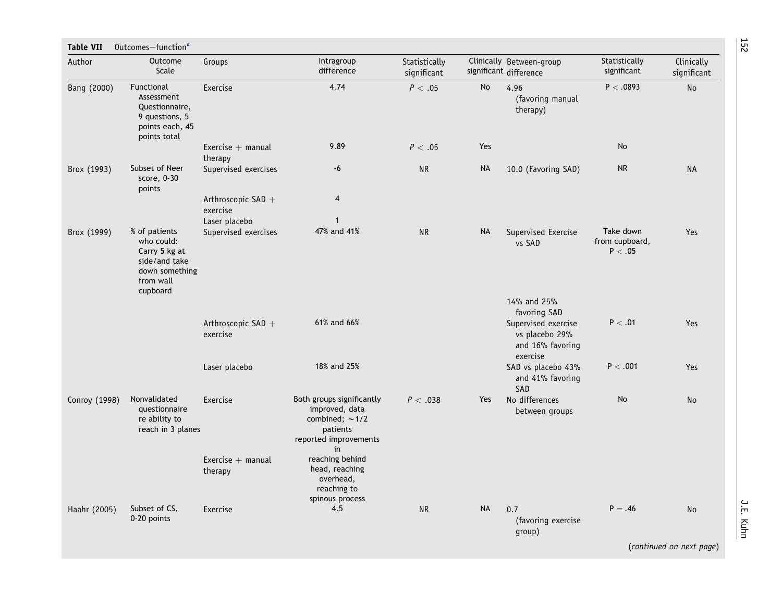<span id="page-14-0"></span>

| Author        | Outcome<br>Scale                                                                                         | Groups                                          | Intragroup<br>difference                                                                                       | Statistically<br>significant |           | Clinically Between-group<br>significant difference                    | Statistically<br>significant           | Clinically<br>significant |
|---------------|----------------------------------------------------------------------------------------------------------|-------------------------------------------------|----------------------------------------------------------------------------------------------------------------|------------------------------|-----------|-----------------------------------------------------------------------|----------------------------------------|---------------------------|
| Bang (2000)   | Functional<br>Assessment<br>Questionnaire,<br>9 questions, 5<br>points each, 45<br>points total          | Exercise                                        | 4.74                                                                                                           | P < .05                      | No        | 4.96<br>(favoring manual<br>therapy)                                  | P < .0893                              | No                        |
|               |                                                                                                          | Exercise $+$ manual<br>therapy                  | 9.89                                                                                                           | P < .05                      | Yes       |                                                                       | No                                     |                           |
| Brox (1993)   | Subset of Neer<br>score, 0-30<br>points                                                                  | Supervised exercises                            | -6                                                                                                             | <b>NR</b>                    | <b>NA</b> | 10.0 (Favoring SAD)                                                   | <b>NR</b>                              | <b>NA</b>                 |
|               |                                                                                                          | Arthroscopic SAD +<br>exercise<br>Laser placebo | $\overline{\mathbf{4}}$<br>$\mathbf{1}$                                                                        |                              |           |                                                                       |                                        |                           |
| Brox (1999)   | % of patients<br>who could:<br>Carry 5 kg at<br>side/and take<br>down something<br>from wall<br>cupboard | Supervised exercises                            | 47% and 41%                                                                                                    | <b>NR</b>                    | <b>NA</b> | Supervised Exercise<br>vs SAD                                         | Take down<br>from cupboard,<br>P < .05 | Yes                       |
|               |                                                                                                          |                                                 |                                                                                                                |                              |           | 14% and 25%<br>favoring SAD                                           |                                        |                           |
|               |                                                                                                          | Arthroscopic $SAD +$<br>exercise                | 61% and 66%                                                                                                    |                              |           | Supervised exercise<br>vs placebo 29%<br>and 16% favoring<br>exercise | P < .01                                | Yes                       |
|               |                                                                                                          | Laser placebo                                   | 18% and 25%                                                                                                    |                              |           | SAD vs placebo 43%<br>and 41% favoring<br>SAD                         | P < .001                               | Yes                       |
| Conroy (1998) | Nonvalidated<br>questionnaire<br>re ability to<br>reach in 3 planes                                      | Exercise                                        | Both groups significantly<br>improved, data<br>combined; $\sim$ 1/2<br>patients<br>reported improvements<br>in | P < .038                     | Yes       | No differences<br>between groups                                      | No                                     | No                        |
|               |                                                                                                          | Exercise $+$ manual<br>therapy                  | reaching behind<br>head, reaching<br>overhead,<br>reaching to<br>spinous process                               |                              |           |                                                                       |                                        |                           |
| Haahr (2005)  | Subset of CS,<br>0-20 points                                                                             | Exercise                                        | 4.5                                                                                                            | <b>NR</b>                    | <b>NA</b> | 0.7<br>(favoring exercise<br>group)                                   | $P = .46$                              | <b>No</b>                 |

152

J.E. Kuhn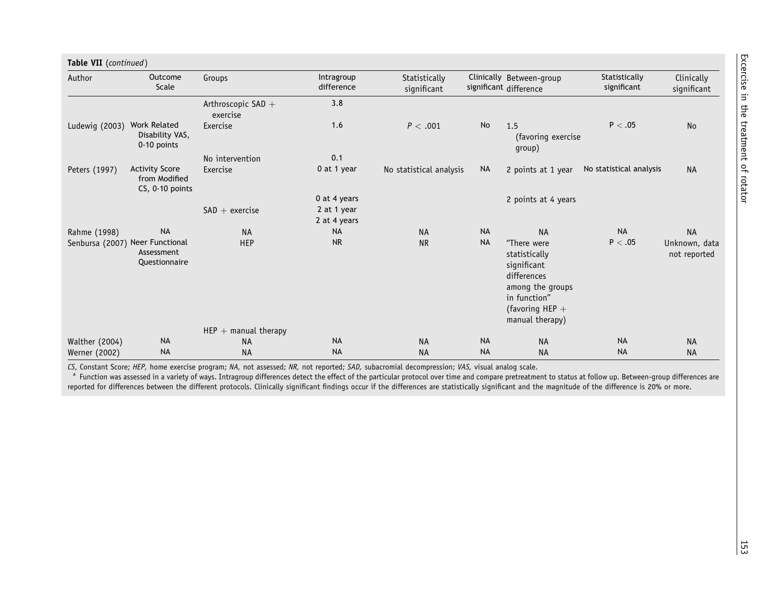<span id="page-15-0"></span>

| Table VII (continued) |                                                                |                                      |                          |                              |           |                                                                                                                                        |                              |                               |
|-----------------------|----------------------------------------------------------------|--------------------------------------|--------------------------|------------------------------|-----------|----------------------------------------------------------------------------------------------------------------------------------------|------------------------------|-------------------------------|
| Author                | Outcome<br>Scale                                               | Groups                               | Intragroup<br>difference | Statistically<br>significant |           | Clinically Between-group<br>significant difference                                                                                     | Statistically<br>significant | Clinically<br>significant     |
|                       |                                                                | Arthroscopic SAD +<br>exercise       | 3.8                      |                              |           |                                                                                                                                        |                              |                               |
| Ludewig (2003)        | Work Related<br>Disability VAS,<br>0-10 points                 | Exercise                             | 1.6                      | P < .001                     | No        | 1.5<br>(favoring exercise<br>group)                                                                                                    | P < .05                      | <b>No</b>                     |
|                       |                                                                | No intervention                      | 0.1                      |                              |           |                                                                                                                                        |                              |                               |
| Peters (1997)         | <b>Activity Score</b><br>from Modified<br>$CS$ , 0-10 points   | Exercise                             | 0 at 1 year              | No statistical analysis      | <b>NA</b> | 2 points at 1 year                                                                                                                     | No statistical analysis      | <b>NA</b>                     |
|                       |                                                                |                                      | 0 at 4 years             |                              |           | 2 points at 4 years                                                                                                                    |                              |                               |
|                       |                                                                | $SAD +$ exercise                     | 2 at 1 year              |                              |           |                                                                                                                                        |                              |                               |
|                       |                                                                |                                      | 2 at 4 years             |                              |           |                                                                                                                                        |                              |                               |
| Rahme (1998)          | <b>NA</b>                                                      | <b>NA</b>                            | <b>NA</b>                | <b>NA</b>                    | <b>NA</b> | <b>NA</b>                                                                                                                              | <b>NA</b>                    | <b>NA</b>                     |
|                       | Senbursa (2007) Neer Functional<br>Assessment<br>Questionnaire | <b>HEP</b><br>$HEP + manual$ therapy | <b>NR</b>                | <b>NR</b>                    | <b>NA</b> | "There were<br>statistically<br>significant<br>differences<br>among the groups<br>in function"<br>(favoring HEP $+$<br>manual therapy) | P < .05                      | Unknown, data<br>not reported |
|                       |                                                                |                                      | <b>NA</b>                |                              | <b>NA</b> |                                                                                                                                        | <b>NA</b>                    |                               |
| Walther (2004)        | <b>NA</b>                                                      | <b>NA</b>                            |                          | <b>NA</b>                    |           | <b>NA</b>                                                                                                                              |                              | <b>NA</b>                     |
| Werner (2002)         | <b>NA</b>                                                      | <b>NA</b>                            | <b>NA</b>                | <b>NA</b>                    | <b>NA</b> | <b>NA</b>                                                                                                                              | <b>NA</b>                    | <b>NA</b>                     |

CS, Constant Score; HEP, home exercise program; NA, not assessed; NR, not reported; SAD, subacromial decompression; VAS, visual analog scale.

 $^{\rm a}$  Function was assessed in a variety of ways. Intragroup differences detect the effect of the particular protocol over time and compare pretreatment to status at follow up. Between-group differences are reported for differences between the different protocols. Clinically significant findings occur if the differences are statistically significant and the magnitude of the difference is 20% or more.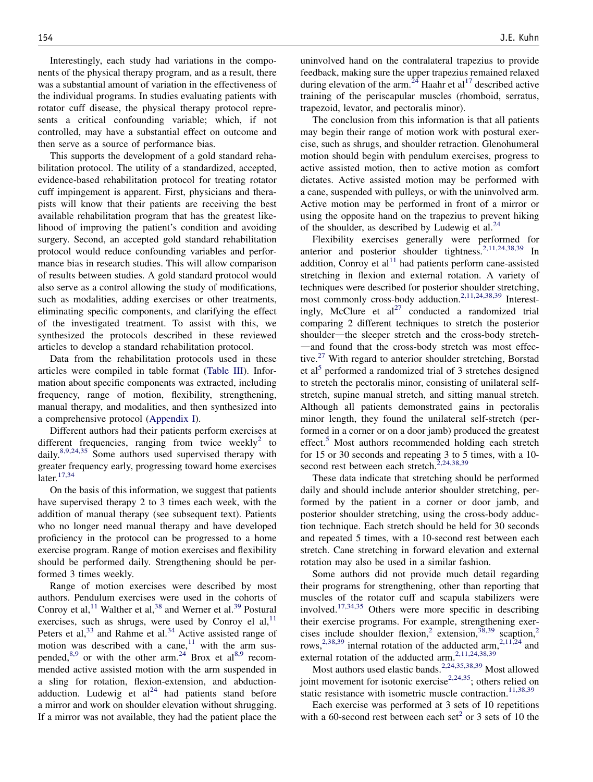Interestingly, each study had variations in the components of the physical therapy program, and as a result, there was a substantial amount of variation in the effectiveness of the individual programs. In studies evaluating patients with rotator cuff disease, the physical therapy protocol represents a critical confounding variable; which, if not controlled, may have a substantial effect on outcome and then serve as a source of performance bias.

This supports the development of a gold standard rehabilitation protocol. The utility of a standardized, accepted, evidence-based rehabilitation protocol for treating rotator cuff impingement is apparent. First, physicians and therapists will know that their patients are receiving the best available rehabilitation program that has the greatest likelihood of improving the patient's condition and avoiding surgery. Second, an accepted gold standard rehabilitation protocol would reduce confounding variables and performance bias in research studies. This will allow comparison of results between studies. A gold standard protocol would also serve as a control allowing the study of modifications, such as modalities, adding exercises or other treatments, eliminating specific components, and clarifying the effect of the investigated treatment. To assist with this, we synthesized the protocols described in these reviewed articles to develop a standard rehabilitation protocol.

Data from the rehabilitation protocols used in these articles were compiled in table format [\(Table III\)](#page-4-0). Information about specific components was extracted, including frequency, range of motion, flexibility, strengthening, manual therapy, and modalities, and then synthesized into a comprehensive protocol [\(Appendix I\)](#page-18-0).

Different authors had their patients perform exercises at different frequencies, ranging from twice weekly<sup>[2](#page-17-0)</sup> to daily.<sup>[8,9,24,35](#page-18-0)</sup> Some authors used supervised therapy with greater frequency early, progressing toward home exercises later.<sup>[17,34](#page-18-0)</sup>

On the basis of this information, we suggest that patients have supervised therapy 2 to 3 times each week, with the addition of manual therapy (see subsequent text). Patients who no longer need manual therapy and have developed proficiency in the protocol can be progressed to a home exercise program. Range of motion exercises and flexibility should be performed daily. Strengthening should be performed 3 times weekly.

Range of motion exercises were described by most authors. Pendulum exercises were used in the cohorts of Conroy et al, $^{11}$  $^{11}$  $^{11}$  Walther et al, $^{38}$  $^{38}$  $^{38}$  and Werner et al. $^{39}$  $^{39}$  $^{39}$  Postural exercises, such as shrugs, were used by Conroy el  $al$ ,<sup>[11](#page-18-0)</sup>, Peters et al,  $33$  and Rahme et al.  $34$  Active assisted range of motion was described with a cane, $11$  with the arm sus-pended,<sup>[8,9](#page-18-0)</sup> or with the other arm.<sup>[24](#page-18-0)</sup> Brox et al<sup>8,9</sup> recommended active assisted motion with the arm suspended in a sling for rotation, flexion-extension, and abductionadduction. Ludewig et  $al^{24}$  $al^{24}$  $al^{24}$  had patients stand before a mirror and work on shoulder elevation without shrugging. If a mirror was not available, they had the patient place the

uninvolved hand on the contralateral trapezius to provide feedback, making sure the upper trapezius remained relaxed during elevation of the arm.<sup>[24](#page-18-0)</sup> Haahr et al<sup>[17](#page-18-0)</sup> described active training of the periscapular muscles (rhomboid, serratus, trapezoid, levator, and pectoralis minor).

The conclusion from this information is that all patients may begin their range of motion work with postural exercise, such as shrugs, and shoulder retraction. Glenohumeral motion should begin with pendulum exercises, progress to active assisted motion, then to active motion as comfort dictates. Active assisted motion may be performed with a cane, suspended with pulleys, or with the uninvolved arm. Active motion may be performed in front of a mirror or using the opposite hand on the trapezius to prevent hiking of the shoulder, as described by Ludewig et al. $^{24}$  $^{24}$  $^{24}$ 

Flexibility exercises generally were performed for anterior and posterior shoulder tightness.<sup>[2,11,24,38,39](#page-17-0)</sup> In addition, Conroy et  $al<sup>11</sup>$  $al<sup>11</sup>$  $al<sup>11</sup>$  had patients perform cane-assisted stretching in flexion and external rotation. A variety of techniques were described for posterior shoulder stretching, most commonly cross-body adduction.<sup>[2,11,24,38,39](#page-17-0)</sup> Interestingly, McClure et  $al^{27}$  $al^{27}$  $al^{27}$  conducted a randomized trial comparing 2 different techniques to stretch the posterior shoulder-the sleeper stretch and the cross-body stretch--and found that the cross-body stretch was most effective. $27$  With regard to anterior shoulder stretching, Borstad et al<sup>[5](#page-18-0)</sup> performed a randomized trial of 3 stretches designed to stretch the pectoralis minor, consisting of unilateral selfstretch, supine manual stretch, and sitting manual stretch. Although all patients demonstrated gains in pectoralis minor length, they found the unilateral self-stretch (performed in a corner or on a door jamb) produced the greatest effect.<sup>[5](#page-18-0)</sup> Most authors recommended holding each stretch for 15 or 30 seconds and repeating 3 to 5 times, with a 10 second rest between each stretch. $2,24,38,39$ 

These data indicate that stretching should be performed daily and should include anterior shoulder stretching, performed by the patient in a corner or door jamb, and posterior shoulder stretching, using the cross-body adduction technique. Each stretch should be held for 30 seconds and repeated 5 times, with a 10-second rest between each stretch. Cane stretching in forward elevation and external rotation may also be used in a similar fashion.

Some authors did not provide much detail regarding their programs for strengthening, other than reporting that muscles of the rotator cuff and scapula stabilizers were involved.[17,34,35](#page-18-0) Others were more specific in describing their exercise programs. For example, strengthening exer-cises include shoulder flexion,<sup>2</sup> extension,<sup>[38,39](#page-18-0)</sup> scaption,<sup>[2](#page-17-0)</sup> rows,<sup>[2,38,39](#page-17-0)</sup> internal rotation of the adducted arm,<sup>[2,11,24](#page-17-0)</sup> and external rotation of the adducted arm.<sup>[2,11,24,38,39](#page-17-0)</sup>

Most authors used elastic bands.<sup>[2,24,35,38,39](#page-17-0)</sup> Most allowed joint movement for isotonic exercise<sup>[2,24,35](#page-17-0)</sup>; others relied on static resistance with isometric muscle contraction.<sup>[11,38,39](#page-18-0)</sup>

Each exercise was performed at 3 sets of 10 repetitions with a 60-second rest between each set<sup>[2](#page-17-0)</sup> or 3 sets of 10 the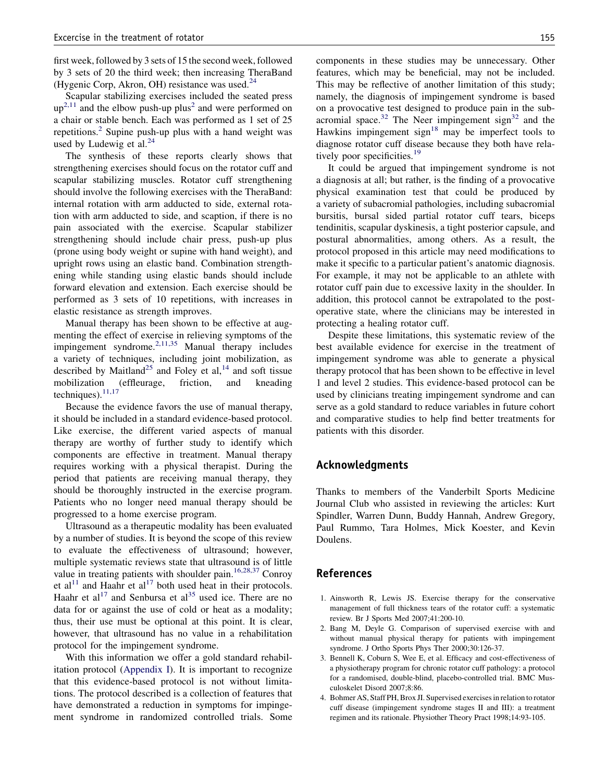<span id="page-17-0"></span>first week, followed by 3 sets of 15 the second week, followed by 3 sets of 20 the third week; then increasing TheraBand (Hygenic Corp, Akron, OH) resistance was used. $^{24}$  $^{24}$  $^{24}$ 

Scapular stabilizing exercises included the seated press  $up^{2,11}$  and the elbow push-up plus<sup>2</sup> and were performed on a chair or stable bench. Each was performed as 1 set of 25 repetitions.2 Supine push-up plus with a hand weight was used by Ludewig et al. $^{24}$  $^{24}$  $^{24}$ 

The synthesis of these reports clearly shows that strengthening exercises should focus on the rotator cuff and scapular stabilizing muscles. Rotator cuff strengthening should involve the following exercises with the TheraBand: internal rotation with arm adducted to side, external rotation with arm adducted to side, and scaption, if there is no pain associated with the exercise. Scapular stabilizer strengthening should include chair press, push-up plus (prone using body weight or supine with hand weight), and upright rows using an elastic band. Combination strengthening while standing using elastic bands should include forward elevation and extension. Each exercise should be performed as 3 sets of 10 repetitions, with increases in elastic resistance as strength improves.

Manual therapy has been shown to be effective at augmenting the effect of exercise in relieving symptoms of the impingement syndrome. $^{2,11,35}$  Manual therapy includes a variety of techniques, including joint mobilization, as described by Maitland<sup>[25](#page-18-0)</sup> and Foley et al,<sup>[14](#page-18-0)</sup> and soft tissue mobilization (effleurage, friction, and kneading techniques). $11,17$ 

Because the evidence favors the use of manual therapy, it should be included in a standard evidence-based protocol. Like exercise, the different varied aspects of manual therapy are worthy of further study to identify which components are effective in treatment. Manual therapy requires working with a physical therapist. During the period that patients are receiving manual therapy, they should be thoroughly instructed in the exercise program. Patients who no longer need manual therapy should be progressed to a home exercise program.

Ultrasound as a therapeutic modality has been evaluated by a number of studies. It is beyond the scope of this review to evaluate the effectiveness of ultrasound; however, multiple systematic reviews state that ultrasound is of little value in treating patients with shoulder pain.<sup>[16,28,37](#page-18-0)</sup> Conroy et al<sup>[11](#page-18-0)</sup> and Haahr et al<sup>[17](#page-18-0)</sup> both used heat in their protocols. Haahr et al<sup>[17](#page-18-0)</sup> and Senbursa et al<sup>35</sup> used ice. There are no data for or against the use of cold or heat as a modality; thus, their use must be optional at this point. It is clear, however, that ultrasound has no value in a rehabilitation protocol for the impingement syndrome.

With this information we offer a gold standard rehabilitation protocol ([Appendix I](#page-18-0)). It is important to recognize that this evidence-based protocol is not without limitations. The protocol described is a collection of features that have demonstrated a reduction in symptoms for impingement syndrome in randomized controlled trials. Some components in these studies may be unnecessary. Other features, which may be beneficial, may not be included. This may be reflective of another limitation of this study; namely, the diagnosis of impingement syndrome is based on a provocative test designed to produce pain in the subacromial space. $32$  The Neer impingement sign<sup>32</sup> and the Hawkins impingement sign<sup>[18](#page-18-0)</sup> may be imperfect tools to diagnose rotator cuff disease because they both have rela-tively poor specificities.<sup>[19](#page-18-0)</sup>

It could be argued that impingement syndrome is not a diagnosis at all; but rather, is the finding of a provocative physical examination test that could be produced by a variety of subacromial pathologies, including subacromial bursitis, bursal sided partial rotator cuff tears, biceps tendinitis, scapular dyskinesis, a tight posterior capsule, and postural abnormalities, among others. As a result, the protocol proposed in this article may need modifications to make it specific to a particular patient's anatomic diagnosis. For example, it may not be applicable to an athlete with rotator cuff pain due to excessive laxity in the shoulder. In addition, this protocol cannot be extrapolated to the postoperative state, where the clinicians may be interested in protecting a healing rotator cuff.

Despite these limitations, this systematic review of the best available evidence for exercise in the treatment of impingement syndrome was able to generate a physical therapy protocol that has been shown to be effective in level 1 and level 2 studies. This evidence-based protocol can be used by clinicians treating impingement syndrome and can serve as a gold standard to reduce variables in future cohort and comparative studies to help find better treatments for patients with this disorder.

# Acknowledgments

Thanks to members of the Vanderbilt Sports Medicine Journal Club who assisted in reviewing the articles: Kurt Spindler, Warren Dunn, Buddy Hannah, Andrew Gregory, Paul Rummo, Tara Holmes, Mick Koester, and Kevin Doulens.

#### References

- 1. Ainsworth R, Lewis JS. Exercise therapy for the conservative management of full thickness tears of the rotator cuff: a systematic review. Br J Sports Med 2007;41:200-10.
- 2. Bang M, Deyle G. Comparison of supervised exercise with and without manual physical therapy for patients with impingement syndrome. J Ortho Sports Phys Ther 2000;30:126-37.
- 3. Bennell K, Coburn S, Wee E, et al. Efficacy and cost-effectiveness of a physiotherapy program for chronic rotator cuff pathology: a protocol for a randomised, double-blind, placebo-controlled trial. BMC Musculoskelet Disord 2007;8:86.
- 4. Bohmer AS, Staff PH, Brox JI. Supervised exercises in relation to rotator cuff disease (impingement syndrome stages II and III): a treatment regimen and its rationale. Physiother Theory Pract 1998;14:93-105.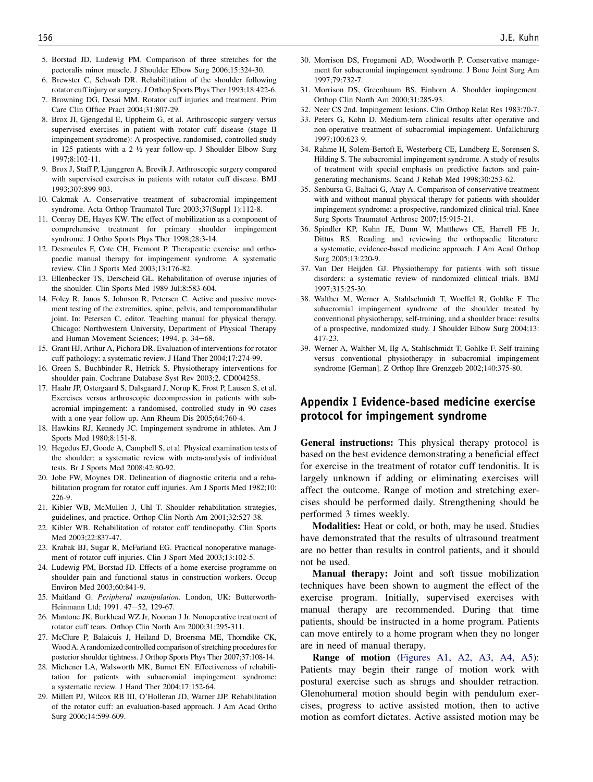- <span id="page-18-0"></span>5. Borstad JD, Ludewig PM. Comparison of three stretches for the pectoralis minor muscle. J Shoulder Elbow Surg 2006;15:324-30.
- 6. Brewster C, Schwab DR. Rehabilitation of the shoulder following rotator cuff injury or surgery. J Orthop Sports Phys Ther 1993;18:422-6.
- 7. Browning DG, Desai MM. Rotator cuff injuries and treatment. Prim Care Clin Office Pract 2004;31:807-29.
- 8. Brox JI, Gjengedal E, Uppheim G, et al. Arthroscopic surgery versus supervised exercises in patient with rotator cuff disease (stage II impingement syndrome): A prospective, randomised, controlled study in 125 patients with a 2 ½ year follow-up. J Shoulder Elbow Surg 1997;8:102-11.
- 9. Brox J, Staff P, Ljunggren A, Brevik J. Arthroscopic surgery compared with supervised exercises in patients with rotator cuff disease. BMJ 1993;307:899-903.
- 10. Cakmak A. Conservative treatment of subacromial impingement syndrome. Acta Orthop Traumatol Turc 2003;37(Suppl 1):112-8.
- 11. Conroy DE, Hayes KW. The effect of mobilization as a component of comprehensive treatment for primary shoulder impingement syndrome. J Ortho Sports Phys Ther 1998;28:3-14.
- 12. Desmeules F, Cote CH, Fremont P. Therapeutic exercise and orthopaedic manual therapy for impingement syndrome. A systematic review. Clin J Sports Med 2003;13:176-82.
- 13. Ellenbecker TS, Derscheid GL. Rehabilitation of overuse injuries of the shoulder. Clin Sports Med 1989 Jul;8:583-604.
- 14. Foley R, Janos S, Johnson R, Petersen C. Active and passive movement testing of the extremities, spine, pelvis, and temporomandibular joint. In: Petersen C, editor. Teaching manual for physical therapy. Chicago: Northwestern University, Department of Physical Therapy and Human Movement Sciences; 1994. p. 34-68.
- 15. Grant HJ, Arthur A, Pichora DR. Evaluation of interventions for rotator cuff pathology: a systematic review. J Hand Ther 2004;17:274-99.
- 16. Green S, Buchbinder R, Hetrick S. Physiotherapy interventions for shoulder pain. Cochrane Database Syst Rev 2003;2. CD004258.
- 17. Haahr JP, Ostergaard S, Dalsgaard J, Norup K, Frost P, Lausen S, et al. Exercises versus arthroscopic decompression in patients with subacromial impingement: a randomised, controlled study in 90 cases with a one year follow up. Ann Rheum Dis 2005;64:760-4.
- 18. Hawkins RJ, Kennedy JC. Impingement syndrome in athletes. Am J Sports Med 1980;8:151-8.
- 19. Hegedus EJ, Goode A, Campbell S, et al. Physical examination tests of the shoulder: a systematic review with meta-analysis of individual tests. Br J Sports Med 2008;42:80-92.
- 20. Jobe FW, Moynes DR. Delineation of diagnostic criteria and a rehabilitation program for rotator cuff injuries. Am J Sports Med 1982;10: 226-9.
- 21. Kibler WB, McMullen J, Uhl T. Shoulder rehabilitation strategies, guidelines, and practice. Orthop Clin North Am 2001;32:527-38.
- 22. Kibler WB. Rehabilitation of rotator cuff tendinopathy. Clin Sports Med 2003;22:837-47.
- 23. Krabak BJ, Sugar R, McFarland EG. Practical nonoperative management of rotator cuff injuries. Clin J Sport Med 2003;13:102-5.
- 24. Ludewig PM, Borstad JD. Effects of a home exercise programme on shoulder pain and functional status in construction workers. Occup Environ Med 2003;60:841-9.
- 25. Maitland G. Peripheral manipulation. London, UK: Butterworth-Heinmann Ltd; 1991. 47-52, 129-67.
- 26. Mantone JK, Burkhead WZ Jr, Noonan J Jr. Nonoperative treatment of rotator cuff tears. Orthop Clin North Am 2000;31:295-311.
- 27. McClure P, Balaicuis J, Heiland D, Broersma ME, Thorndike CK, Wood A. A randomized controlled comparison of stretching procedures for posterior shoulder tightness. J Orthop Sports Phys Ther 2007;37:108-14.
- 28. Michener LA, Walsworth MK, Burnet EN. Effectiveness of rehabilitation for patients with subacromial impingement syndrome: a systematic review. J Hand Ther 2004;17:152-64.
- 29. Millett PJ, Wilcox RB III, O'Holleran JD, Warner JJP. Rehabilitation of the rotator cuff: an evaluation-based approach. J Am Acad Ortho Surg 2006;14:599-609.
- 30. Morrison DS, Frogameni AD, Woodworth P. Conservative management for subacromial impingement syndrome. J Bone Joint Surg Am 1997;79:732-7.
- 31. Morrison DS, Greenbaum BS, Einhorn A. Shoulder impingement. Orthop Clin North Am 2000;31:285-93.
- 32. Neer CS 2nd. Impingement lesions. Clin Orthop Relat Res 1983:70-7.
- 33. Peters G, Kohn D. Medium-tern clinical results after operative and non-operative treatment of subacromial impingement. Unfallchirurg 1997;100:623-9.
- 34. Rahme H, Solem-Bertoft E, Westerberg CE, Lundberg E, Sorensen S, Hilding S. The subacromial impingement syndrome. A study of results of treatment with special emphasis on predictive factors and paingenerating mechanisms. Scand J Rehab Med 1998;30:253-62.
- 35. Senbursa G, Baltaci G, Atay A. Comparison of conservative treatment with and without manual physical therapy for patients with shoulder impingement syndrome: a prospective, randomized clinical trial. Knee Surg Sports Traumatol Arthrosc 2007;15:915-21.
- 36. Spindler KP, Kuhn JE, Dunn W, Matthews CE, Harrell FE Jr, Dittus RS. Reading and reviewing the orthopaedic literature: a systematic, evidence-based medicine approach. J Am Acad Orthop Surg 2005;13:220-9.
- 37. Van Der Heijden GJ. Physiotherapy for patients with soft tissue disorders: a systematic review of randomized clinical trials. BMJ 1997;315:25-30.
- 38. Walther M, Werner A, Stahlschmidt T, Woeffel R, Gohlke F. The subacromial impingement syndrome of the shoulder treated by conventional physiotherapy, self-training, and a shoulder brace: results of a prospective, randomized study. J Shoulder Elbow Surg 2004;13: 417-23.
- 39. Werner A, Walther M, Ilg A, Stahlschmidt T, Gohlke F. Self-training versus conventional physiotherapy in subacromial impingement syndrome [German]. Z Orthop Ihre Grenzgeb 2002;140:375-80.

# Appendix I Evidence-based medicine exercise protocol for impingement syndrome

General instructions: This physical therapy protocol is based on the best evidence demonstrating a beneficial effect for exercise in the treatment of rotator cuff tendonitis. It is largely unknown if adding or eliminating exercises will affect the outcome. Range of motion and stretching exercises should be performed daily. Strengthening should be performed 3 times weekly.

Modalities: Heat or cold, or both, may be used. Studies have demonstrated that the results of ultrasound treatment are no better than results in control patients, and it should not be used.

Manual therapy: Joint and soft tissue mobilization techniques have been shown to augment the effect of the exercise program. Initially, supervised exercises with manual therapy are recommended. During that time patients, should be instructed in a home program. Patients can move entirely to a home program when they no longer are in need of manual therapy.

Range of motion [\(Figures A1, A2, A3, A4, A5](#page-19-0)): Patients may begin their range of motion work with postural exercise such as shrugs and shoulder retraction. Glenohumeral motion should begin with pendulum exercises, progress to active assisted motion, then to active motion as comfort dictates. Active assisted motion may be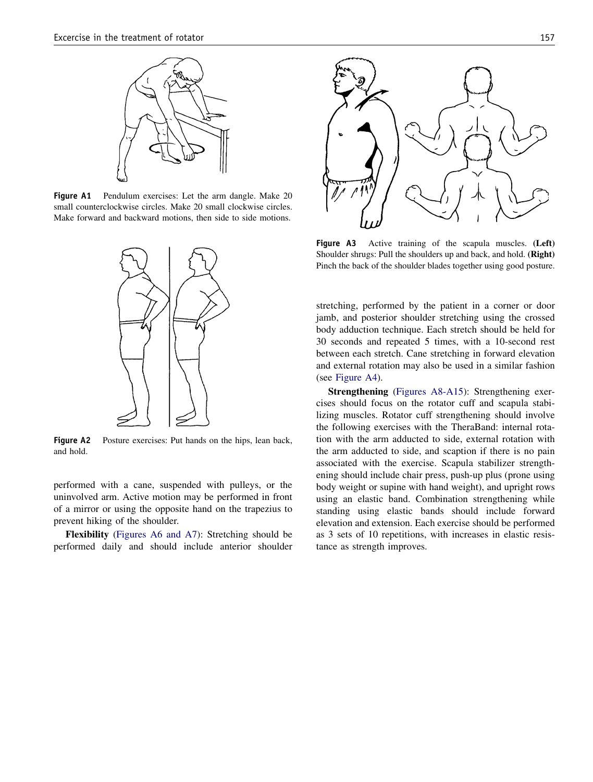<span id="page-19-0"></span>

Figure A1 Pendulum exercises: Let the arm dangle. Make 20 small counterclockwise circles. Make 20 small clockwise circles. Make forward and backward motions, then side to side motions.



Figure A2 Posture exercises: Put hands on the hips, lean back, and hold.

performed with a cane, suspended with pulleys, or the uninvolved arm. Active motion may be performed in front of a mirror or using the opposite hand on the trapezius to prevent hiking of the shoulder.

Flexibility ([Figures A6 and A7](#page-20-0)): Stretching should be performed daily and should include anterior shoulder



Figure A3 Active training of the scapula muscles. (Left) Shoulder shrugs: Pull the shoulders up and back, and hold. (Right) Pinch the back of the shoulder blades together using good posture.

stretching, performed by the patient in a corner or door jamb, and posterior shoulder stretching using the crossed body adduction technique. Each stretch should be held for 30 seconds and repeated 5 times, with a 10-second rest between each stretch. Cane stretching in forward elevation and external rotation may also be used in a similar fashion (see [Figure A4\)](#page-20-0).

Strengthening [\(Figures A8-A15](#page-21-0)): Strengthening exercises should focus on the rotator cuff and scapula stabilizing muscles. Rotator cuff strengthening should involve the following exercises with the TheraBand: internal rotation with the arm adducted to side, external rotation with the arm adducted to side, and scaption if there is no pain associated with the exercise. Scapula stabilizer strengthening should include chair press, push-up plus (prone using body weight or supine with hand weight), and upright rows using an elastic band. Combination strengthening while standing using elastic bands should include forward elevation and extension. Each exercise should be performed as 3 sets of 10 repetitions, with increases in elastic resistance as strength improves.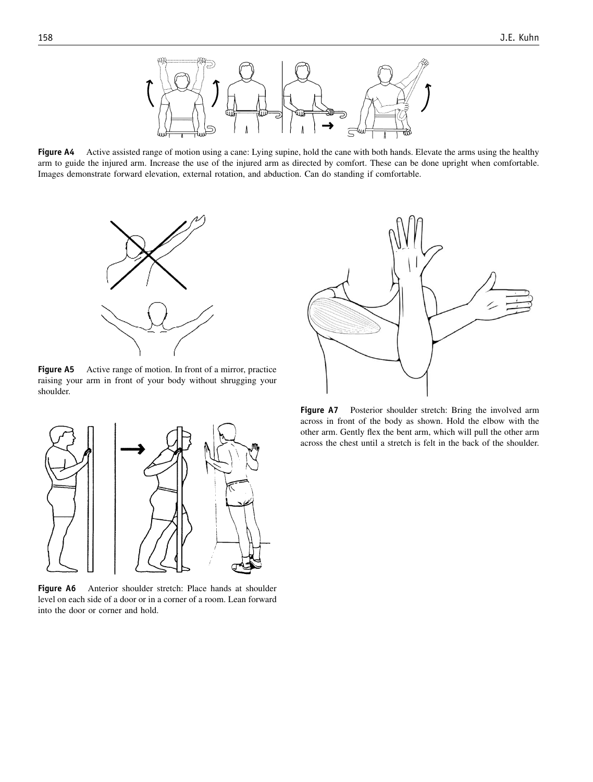<span id="page-20-0"></span>

Figure A4 Active assisted range of motion using a cane: Lying supine, hold the cane with both hands. Elevate the arms using the healthy arm to guide the injured arm. Increase the use of the injured arm as directed by comfort. These can be done upright when comfortable. Images demonstrate forward elevation, external rotation, and abduction. Can do standing if comfortable.



Figure A5 Active range of motion. In front of a mirror, practice raising your arm in front of your body without shrugging your shoulder.



Figure A6 Anterior shoulder stretch: Place hands at shoulder level on each side of a door or in a corner of a room. Lean forward into the door or corner and hold.



Figure A7 Posterior shoulder stretch: Bring the involved arm across in front of the body as shown. Hold the elbow with the other arm. Gently flex the bent arm, which will pull the other arm across the chest until a stretch is felt in the back of the shoulder.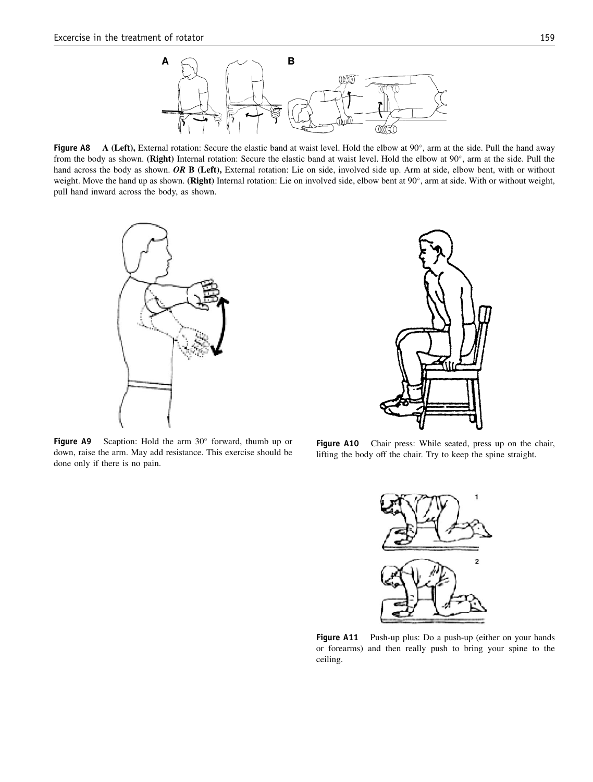<span id="page-21-0"></span>

Figure A8 A (Left), External rotation: Secure the elastic band at waist level. Hold the elbow at  $90^\circ$ , arm at the side. Pull the hand away from the body as shown. (Right) Internal rotation: Secure the elastic band at waist level. Hold the elbow at  $90^\circ$ , arm at the side. Pull the hand across the body as shown. OR B (Left), External rotation: Lie on side, involved side up. Arm at side, elbow bent, with or without weight. Move the hand up as shown. (Right) Internal rotation: Lie on involved side, elbow bent at 90°, arm at side. With or without weight, pull hand inward across the body, as shown.



Figure A9 Scaption: Hold the arm  $30^\circ$  forward, thumb up or down, raise the arm. May add resistance. This exercise should be done only if there is no pain.



Figure A10 Chair press: While seated, press up on the chair, lifting the body off the chair. Try to keep the spine straight.



Figure A11 Push-up plus: Do a push-up (either on your hands or forearms) and then really push to bring your spine to the ceiling.